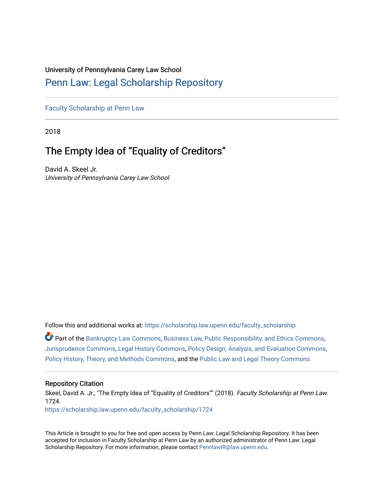# University of Pennsylvania Carey Law School

# [Penn Law: Legal Scholarship Repository](https://scholarship.law.upenn.edu/)

[Faculty Scholarship at Penn Law](https://scholarship.law.upenn.edu/faculty_scholarship)

2018

# The Empty Idea of "Equality of Creditors"

David A. Skeel Jr. University of Pennsylvania Carey Law School

Follow this and additional works at: [https://scholarship.law.upenn.edu/faculty\\_scholarship](https://scholarship.law.upenn.edu/faculty_scholarship?utm_source=scholarship.law.upenn.edu%2Ffaculty_scholarship%2F1724&utm_medium=PDF&utm_campaign=PDFCoverPages) 

Part of the [Bankruptcy Law Commons,](http://network.bepress.com/hgg/discipline/583?utm_source=scholarship.law.upenn.edu%2Ffaculty_scholarship%2F1724&utm_medium=PDF&utm_campaign=PDFCoverPages) [Business Law, Public Responsibility, and Ethics Commons,](http://network.bepress.com/hgg/discipline/628?utm_source=scholarship.law.upenn.edu%2Ffaculty_scholarship%2F1724&utm_medium=PDF&utm_campaign=PDFCoverPages) [Jurisprudence Commons](http://network.bepress.com/hgg/discipline/610?utm_source=scholarship.law.upenn.edu%2Ffaculty_scholarship%2F1724&utm_medium=PDF&utm_campaign=PDFCoverPages), [Legal History Commons,](http://network.bepress.com/hgg/discipline/904?utm_source=scholarship.law.upenn.edu%2Ffaculty_scholarship%2F1724&utm_medium=PDF&utm_campaign=PDFCoverPages) [Policy Design, Analysis, and Evaluation Commons,](http://network.bepress.com/hgg/discipline/1032?utm_source=scholarship.law.upenn.edu%2Ffaculty_scholarship%2F1724&utm_medium=PDF&utm_campaign=PDFCoverPages) [Policy History, Theory, and Methods Commons,](http://network.bepress.com/hgg/discipline/1036?utm_source=scholarship.law.upenn.edu%2Ffaculty_scholarship%2F1724&utm_medium=PDF&utm_campaign=PDFCoverPages) and the [Public Law and Legal Theory Commons](http://network.bepress.com/hgg/discipline/871?utm_source=scholarship.law.upenn.edu%2Ffaculty_scholarship%2F1724&utm_medium=PDF&utm_campaign=PDFCoverPages)

# Repository Citation

Skeel, David A. Jr., "The Empty Idea of "Equality of Creditors"" (2018). Faculty Scholarship at Penn Law. 1724. [https://scholarship.law.upenn.edu/faculty\\_scholarship/1724](https://scholarship.law.upenn.edu/faculty_scholarship/1724?utm_source=scholarship.law.upenn.edu%2Ffaculty_scholarship%2F1724&utm_medium=PDF&utm_campaign=PDFCoverPages)

This Article is brought to you for free and open access by Penn Law: Legal Scholarship Repository. It has been accepted for inclusion in Faculty Scholarship at Penn Law by an authorized administrator of Penn Law: Legal Scholarship Repository. For more information, please contact [PennlawIR@law.upenn.edu.](mailto:PennlawIR@law.upenn.edu)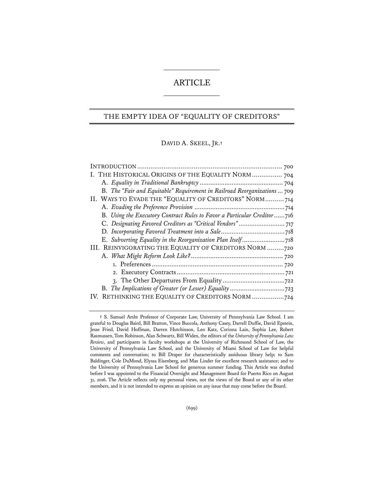# ARTICLE

### THE EMPTY IDEA OF "EQUALITY OF CREDITORS"

DAVID A. SKEEL, JR.**†** 

| I. THE HISTORICAL ORIGINS OF THE EQUALITY NORM  704                      |  |
|--------------------------------------------------------------------------|--|
|                                                                          |  |
| B. The "Fair and Equitable" Requirement in Railroad Reorganizations  709 |  |
| II. WAYS TO EVADE THE "EQUALITY OF CREDITORS" NORM 714                   |  |
|                                                                          |  |
| B. Using the Executory Contract Rules to Favor a Particular Creditor716  |  |
|                                                                          |  |
|                                                                          |  |
|                                                                          |  |
| III. REINVIGORATING THE EQUALITY OF CREDITORS NORM 720                   |  |
|                                                                          |  |
|                                                                          |  |
|                                                                          |  |
|                                                                          |  |
|                                                                          |  |
| IV. RETHINKING THE EQUALITY OF CREDITORS NORM 724                        |  |
|                                                                          |  |

**<sup>†</sup>** S. Samuel Arsht Professor of Corporate Law, University of Pennsylvania Law School. I am grateful to Douglas Baird, Bill Bratton, Vince Buccola, Anthony Casey, Darrell Duffie, David Epstein, Jesse Fried, David Hoffman, Darren Hutchinson, Leo Katz, Corinna Lain, Sophia Lee, Robert Rasmussen, Tom Robinson, Alan Schwartz, Bill Widen, the editors of the *University of Pennsylvania Law Review*, and participants in faculty workshops at the University of Richmond School of Law, the University of Pennsylvania Law School, and the University of Miami School of Law for helpful comments and conversation; to Bill Draper for characteristically assiduous library help; to Sam Baldinger, Cole DuMond, Elyssa Eisenberg, and Max Linder for excellent research assistance; and to the University of Pennsylvania Law School for generous summer funding. This Article was drafted before I was appointed to the Financial Oversight and Management Board for Puerto Rico on August 31, 2016. The Article reflects only my personal views, not the views of the Board or any of its other members, and it is not intended to express an opinion on any issue that may come before the Board.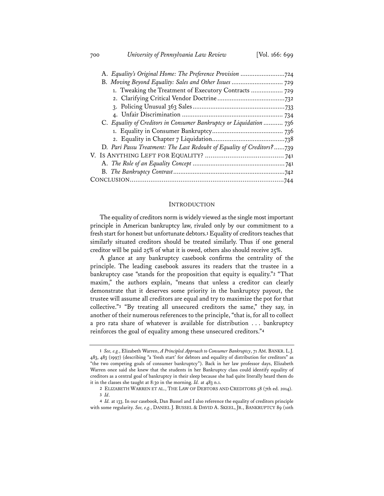700 *University of Pennsylvania Law Review* [Vol. 166: 699

| 1. Tweaking the Treatment of Executory Contracts  729                  |  |
|------------------------------------------------------------------------|--|
|                                                                        |  |
|                                                                        |  |
|                                                                        |  |
| C. Equality of Creditors in Consumer Bankruptcy or Liquidation  736    |  |
|                                                                        |  |
|                                                                        |  |
| D. Pari Passu Treatment: The Last Redoubt of Equality of Creditors?739 |  |
|                                                                        |  |
|                                                                        |  |
|                                                                        |  |
|                                                                        |  |
|                                                                        |  |

#### **INTRODUCTION**

The equality of creditors norm is widely viewed as the single most important principle in American bankruptcy law, rivaled only by our commitment to a fresh start for honest but unfortunate debtors.**<sup>1</sup>** Equality of creditors teaches that similarly situated creditors should be treated similarly. Thus if one general creditor will be paid 25% of what it is owed, others also should receive 25%.

A glance at any bankruptcy casebook confirms the centrality of the principle. The leading casebook assures its readers that the trustee in a bankruptcy case "stands for the proposition that equity is equality."**<sup>2</sup>** "That maxim," the authors explain, "means that unless a creditor can clearly demonstrate that it deserves some priority in the bankruptcy payout, the trustee will assume all creditors are equal and try to maximize the pot for that collective."**<sup>3</sup>** "By treating all unsecured creditors the same," they say, in another of their numerous references to the principle, "that is, for all to collect a pro rata share of whatever is available for distribution . . . bankruptcy reinforces the goal of equality among these unsecured creditors."**<sup>4</sup>**

**<sup>1</sup>** *See, e.g.*, Elizabeth Warren, *A Principled Approach to Consumer Bankruptcy*, 71 AM. BANKR. L.J. 483, 483 (1997) (describing "a 'fresh start' for debtors and equality of distribution for creditors" as "the two competing goals of consumer bankruptcy"). Back in her law professor days, Elizabeth Warren once said she knew that the students in her Bankruptcy class could identify equality of creditors as a central goal of bankruptcy in their sleep because she had quite literally heard them do it in the classes she taught at 8:30 in the morning. *Id.* at 483 n.1.

**<sup>2</sup>** ELIZABETH WARREN ET AL., THE LAW OF DEBTORS AND CREDITORS 58 (7th ed. 2014). **3** *Id*.

**<sup>4</sup>** *Id.* at 133. In our casebook, Dan Bussel and I also reference the equality of creditors principle with some regularity. *See, e.g.*, DANIEL J. BUSSEL & DAVID A. SKEEL, JR., BANKRUPTCY 89 (10th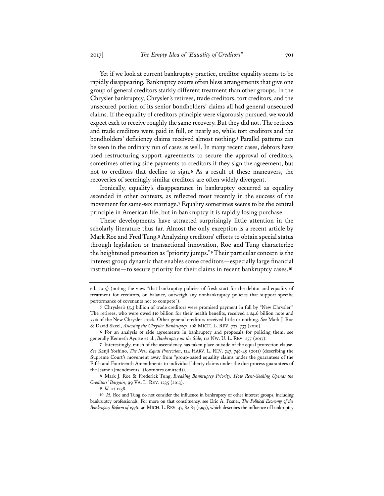Yet if we look at current bankruptcy practice, creditor equality seems to be rapidly disappearing. Bankruptcy courts often bless arrangements that give one group of general creditors starkly different treatment than other groups. In the Chrysler bankruptcy, Chrysler's retirees, trade creditors, tort creditors, and the unsecured portion of its senior bondholders' claims all had general unsecured claims. If the equality of creditors principle were vigorously pursued, we would expect each to receive roughly the same recovery. But they did not. The retirees and trade creditors were paid in full, or nearly so, while tort creditors and the bondholders' deficiency claims received almost nothing.**<sup>5</sup>** Parallel patterns can be seen in the ordinary run of cases as well. In many recent cases, debtors have used restructuring support agreements to secure the approval of creditors, sometimes offering side payments to creditors if they sign the agreement, but not to creditors that decline to sign.**<sup>6</sup>** As a result of these maneuvers, the recoveries of seemingly similar creditors are often widely divergent.

Ironically, equality's disappearance in bankruptcy occurred as equality ascended in other contexts, as reflected most recently in the success of the movement for same-sex marriage.**<sup>7</sup>** Equality sometimes seems to be the central principle in American life, but in bankruptcy it is rapidly losing purchase.

These developments have attracted surprisingly little attention in the scholarly literature thus far. Almost the only exception is a recent article by Mark Roe and Fred Tung.**<sup>8</sup>** Analyzing creditors' efforts to obtain special status through legislation or transactional innovation, Roe and Tung characterize the heightened protection as "priority jumps."**<sup>9</sup>** Their particular concern is the interest group dynamic that enables some creditors—especially large financial institutions—to secure priority for their claims in recent bankruptcy cases.**<sup>10</sup>**

**6** For an analysis of side agreements in bankruptcy and proposals for policing them, see generally Kenneth Ayotte et al., *Bankruptcy on the Side*, 112 NW. U. L. REV. 255 (2017).

**8** Mark J. Roe & Frederick Tung, *Breaking Bankruptcy Priority: How Rent-Seeking Upends the Creditors' Bargain*, 99 VA. L. REV. 1235 (2013).

ed. 2015) (noting the view "that bankruptcy policies of fresh start for the debtor and equality of treatment for creditors, on balance, outweigh any nonbankruptcy policies that support specific performance of covenants not to compete").

**<sup>5</sup>** Chrysler's \$5.3 billion of trade creditors were promised payment in full by "New Chrysler." The retirees, who were owed \$10 billion for their health benefits, received a \$4.6 billion note and 55% of the New Chrysler stock. Other general creditors received little or nothing. *See* Mark J. Roe & David Skeel, *Assessing the Chrysler Bankruptcy*, 108 MICH. L. REV. 727, 733 (2010).

**<sup>7</sup>** Interestingly, much of the ascendency has taken place outside of the equal protection clause. *See* Kenji Yoshino, *The New Equal Protection*, 124 HARV. L. REV. 747, 748-49 (2011) (describing the Supreme Court's movement away from "group-based equality claims under the guarantees of the Fifth and Fourteenth Amendments to individual liberty claims under the due process guarantees of the [same a]mendments" (footnotes omitted)).

**<sup>9</sup>** *Id.* at 1238.

**<sup>10</sup>** *Id.* Roe and Tung do not consider the influence in bankruptcy of other interest groups, including bankruptcy professionals. For more on that constituency, see Eric A. Posner, *The Political Economy of the Bankruptcy Reform of 1978*, 96 MICH. L. REV. 47, 82-84 (1997), which describes the influence of bankruptcy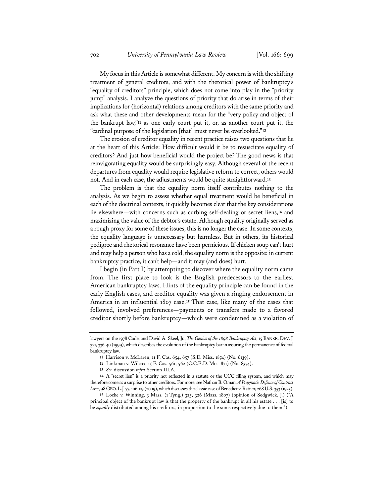My focus in this Article is somewhat different. My concern is with the shifting treatment of general creditors, and with the rhetorical power of bankruptcy's "equality of creditors" principle, which does not come into play in the "priority jump" analysis. I analyze the questions of priority that do arise in terms of their implications for (horizontal) relations among creditors with the same priority and ask what these and other developments mean for the "very policy and object of the bankrupt law,"**<sup>11</sup>** as one early court put it, or, as another court put it, the "cardinal purpose of the legislation [that] must never be overlooked."**<sup>12</sup>**

The erosion of creditor equality in recent practice raises two questions that lie at the heart of this Article: How difficult would it be to resuscitate equality of creditors? And just how beneficial would the project be? The good news is that reinvigorating equality would be surprisingly easy. Although several of the recent departures from equality would require legislative reform to correct, others would not. And in each case, the adjustments would be quite straightforward.**<sup>13</sup>**

The problem is that the equality norm itself contributes nothing to the analysis. As we begin to assess whether equal treatment would be beneficial in each of the doctrinal contexts, it quickly becomes clear that the key considerations lie elsewhere—with concerns such as curbing self-dealing or secret liens,**<sup>14</sup>** and maximizing the value of the debtor's estate. Although equality originally served as a rough proxy for some of these issues, this is no longer the case. In some contexts, the equality language is unnecessary but harmless. But in others, its historical pedigree and rhetorical resonance have been pernicious. If chicken soup can't hurt and may help a person who has a cold, the equality norm is the opposite: in current bankruptcy practice, it can't help—and it may (and does) hurt.

I begin (in Part I) by attempting to discover where the equality norm came from. The first place to look is the English predecessors to the earliest American bankruptcy laws. Hints of the equality principle can be found in the early English cases, and creditor equality was given a ringing endorsement in America in an influential 1807 case.**<sup>15</sup>** That case, like many of the cases that followed, involved preferences—payments or transfers made to a favored creditor shortly before bankruptcy—which were condemned as a violation of

lawyers on the 1978 Code, and David A. Skeel, Jr., *The Genius of the 1898 Bankruptcy Act*, 15 BANKR. DEV.J. 321, 336-40 (1999), which describes the evolution of the bankruptcy bar in assuring the permanence of federal bankruptcy law.

**<sup>11</sup>** Harrison v. McLaren, 11 F. Cas. 654, 657 (S.D. Miss. 1874) (No. 6139).

**<sup>12</sup>** Linkman v. Wilcox, 15 F. Cas. 561, 562 (C.C.E.D. Mo. 1871) (No. 8374).

**<sup>13</sup>** *See* discussion *infra* Section III.A.

**<sup>14</sup>** A "secret lien" is a priority not reflected in a statute or the UCC filing system, and which may therefore come as a surprise to other creditors. For more, see Nathan B. Oman, *A Pragmatic Defense of Contract Law*, 98 GEO.L.J. 77, 106-09 (2009), which discusses the classic case of Benedict v. Ratner, 268 U.S. 353 (1925).

**<sup>15</sup>** Locke v. Winning, 3 Mass. (1 Tyng.) 325, 326 (Mass. 1807) (opinion of Sedgwick, J.) ("A principal object of the bankrupt law is that the property of the bankrupt in all his estate . . . [is] to be *equally* distributed among his creditors, in proportion to the sums respectively due to them.").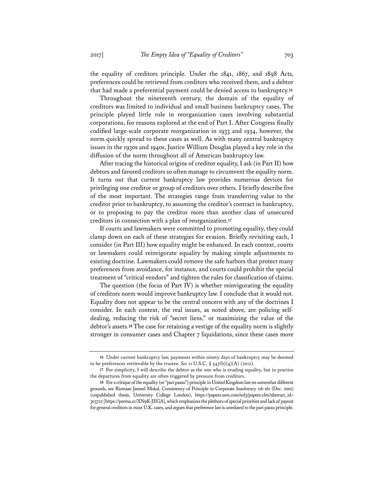the equality of creditors principle. Under the 1841, 1867, and 1898 Acts, preferences could be retrieved from creditors who received them, and a debtor that had made a preferential payment could be denied access to bankruptcy.**<sup>16</sup>**

Throughout the nineteenth century, the domain of the equality of creditors was limited to individual and small business bankruptcy cases. The principle played little role in reorganization cases involving substantial corporations, for reasons explored at the end of Part I. After Congress finally codified large-scale corporate reorganization in 1933 and 1934, however, the norm quickly spread to these cases as well. As with many central bankruptcy issues in the 1930s and 1940s, Justice William Douglas played a key role in the diffusion of the norm throughout all of American bankruptcy law.

After tracing the historical origins of creditor equality, I ask (in Part II) how debtors and favored creditors so often manage to circumvent the equality norm. It turns out that current bankruptcy law provides numerous devices for privileging one creditor or group of creditors over others. I briefly describe five of the most important. The strategies range from transferring value to the creditor prior to bankruptcy, to assuming the creditor's contract in bankruptcy, or to proposing to pay the creditor more than another class of unsecured creditors in connection with a plan of reorganization.**<sup>17</sup>**

If courts and lawmakers were committed to promoting equality, they could clamp down on each of these strategies for evasion. Briefly revisiting each, I consider (in Part III) how equality might be enhanced. In each context, courts or lawmakers could reinvigorate equality by making simple adjustments to existing doctrine. Lawmakers could remove the safe harbors that protect many preferences from avoidance, for instance, and courts could prohibit the special treatment of "critical vendors" and tighten the rules for classification of claims.

The question (the focus of Part IV) is whether reinvigorating the equality of creditors norm would improve bankruptcy law. I conclude that it would not. Equality does not appear to be the central concern with any of the doctrines I consider. In each context, the real issues, as noted above, are policing selfdealing, reducing the risk of "secret liens," or maximizing the value of the debtor's assets.**<sup>18</sup>** The case for retaining a vestige of the equality norm is slightly stronger in consumer cases and Chapter 7 liquidations, since these cases more

**<sup>16</sup>** Under current bankruptcy law, payments within ninety days of bankruptcy may be deemed to be preferences retrievable by the trustee. *See* 11 U.S.C. § 547(b)(4)(A) (2012).

**<sup>17</sup>** For simplicity, I will describe the debtor as the one who is evading equality, but in practice the departures from equality are often triggered by pressure from creditors.

**<sup>18</sup>** For a critique of the equality (or "pari passu") principle in United Kingdom law on somewhat different grounds, see Rizwaan Jameel Mokal, Consistency of Principle in Corporate Insolvency 116-161 (Dec. 2001) (unpublished thesis, University College London), https://papers.ssrn.com/sol3/papers.cfm?abstract\_id= 303722 [https://perma.cc/XN9K-JEGA], which emphasizes the plethora of special priorities and lack of payout for general creditors in most U.K. cases, and argues that preference law is unrelated to the pari passu principle.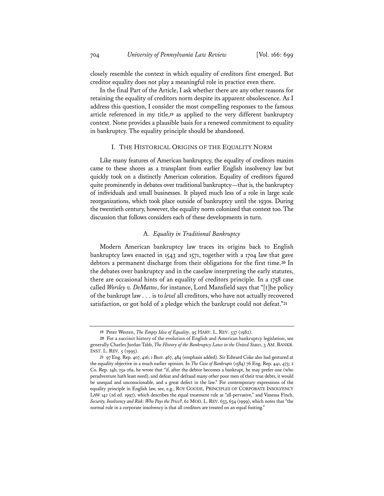closely resemble the context in which equality of creditors first emerged. But creditor equality does not play a meaningful role in practice even there.

In the final Part of the Article, I ask whether there are any other reasons for retaining the equality of creditors norm despite its apparent obsolescence. As I address this question, I consider the most compelling responses to the famous article referenced in my title,**<sup>19</sup>** as applied to the very different bankruptcy context. None provides a plausible basis for a renewed commitment to equality in bankruptcy. The equality principle should be abandoned.

#### I. THE HISTORICAL ORIGINS OF THE EQUALITY NORM

Like many features of American bankruptcy, the equality of creditors maxim came to these shores as a transplant from earlier English insolvency law but quickly took on a distinctly American coloration. Equality of creditors figured quite prominently in debates over traditional bankruptcy—that is, the bankruptcy of individuals and small businesses. It played much less of a role in large scale reorganizations, which took place outside of bankruptcy until the 1930s. During the twentieth century, however, the equality norm colonized that context too. The discussion that follows considers each of these developments in turn.

#### A. *Equality in Traditional Bankruptcy*

Modern American bankruptcy law traces its origins back to English bankruptcy laws enacted in 1543 and 1571, together with a 1704 law that gave debtors a permanent discharge from their obligations for the first time.**<sup>20</sup>** In the debates over bankruptcy and in the caselaw interpreting the early statutes, there are occasional hints of an equality of creditors principle. In a 1758 case called *Worsley v. DeMattos*, for instance, Lord Mansfield says that "[t]he policy of the bankrupt law . . . is to *level* all creditors, who have not actually recovered satisfaction, or got hold of a pledge which the bankrupt could not defeat."**<sup>21</sup>**

**<sup>19</sup>** Peter Westen, *The Empty Idea of Equality*, 95 HARV. L. REV. 537 (1982).

**<sup>20</sup>** For a succinct history of the evolution of English and American bankruptcy legislation, see generally Charles Jordan Tabb, *The History of the Bankruptcy Laws in the United States*, 3 AM. BANKR. INST. L. REV. 5 (1995).

**<sup>21</sup>** 97 Eng. Rep. 407, 416; 1 Burr. 467, 484 (emphasis added). Sir Edward Coke also had gestured at the equality objective in a much earlier opinion. In *The Case of Bankrupts* (1584) 76 Eng. Rep. 441, 473; 2 Co. Rep. 24b, 25a-26a, he wrote that "if, after the debtor becomes a bankrupt, he may prefer one (who peradventure hath least need), and defeat and defraud many other poor men of their true debts, it would be unequal and unconscionable, and a great defect in the law." For contemporary expressions of the equality principle in English law, see, e.g., ROY GOODE, PRINCIPLES OF CORPORATE INSOLVENCY LAW 142 (2d ed. 1997), which describes the equal treatment rule as "all-pervasive," and Vanessa Finch, *Security, Insolvency and Risk: Who Pays the Price?*, 62 MOD. L. REV. 633, 634 (1999), which notes that "the normal rule in a corporate insolvency is that all creditors are treated on an equal footing."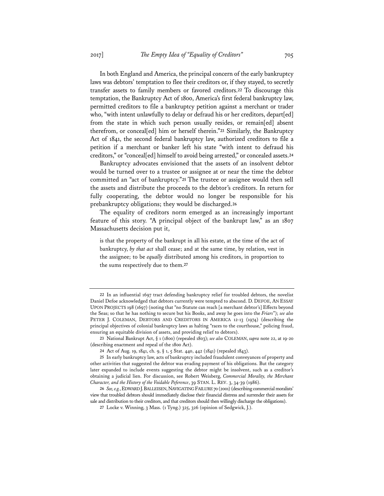In both England and America, the principal concern of the early bankruptcy laws was debtors' temptation to flee their creditors or, if they stayed, to secretly transfer assets to family members or favored creditors.**<sup>22</sup>** To discourage this temptation, the Bankruptcy Act of 1800, America's first federal bankruptcy law, permitted creditors to file a bankruptcy petition against a merchant or trader who, "with intent unlawfully to delay or defraud his or her creditors, depart[ed] from the state in which such person usually resides, or remain[ed] absent therefrom, or conceal[ed] him or herself therein."**<sup>23</sup>** Similarly, the Bankruptcy Act of 1841, the second federal bankruptcy law, authorized creditors to file a petition if a merchant or banker left his state "with intent to defraud his creditors," or "conceal[ed] himself to avoid being arrested," or concealed assets.**<sup>24</sup>**

Bankruptcy advocates envisioned that the assets of an insolvent debtor would be turned over to a trustee or assignee at or near the time the debtor committed an "act of bankruptcy."**<sup>25</sup>** The trustee or assignee would then sell the assets and distribute the proceeds to the debtor's creditors. In return for fully cooperating, the debtor would no longer be responsible for his prebankruptcy obligations; they would be discharged.**<sup>26</sup>**

The equality of creditors norm emerged as an increasingly important feature of this story. "A principal object of the bankrupt law," as an 1807 Massachusetts decision put it,

is that the property of the bankrupt in all his estate, at the time of the act of bankruptcy, *by that act* shall cease; and at the same time, by relation, vest in the assignee; to be *equally* distributed among his creditors, in proportion to the sums respectively due to them.**<sup>27</sup>**

**<sup>22</sup>** In an influential 1697 tract defending bankruptcy relief for troubled debtors, the novelist Daniel Defoe acknowledged that debtors currently were tempted to abscond. D. DEFOE, AN ESSAY UPON PROJECTS 198 (1697) (noting that "no Statute can reach [a merchant debtor's] Effects beyond the Seas; so that he has nothing to secure but his Books, and away he goes into the *Friars*"); *see also* PETER J. COLEMAN, DEBTORS AND CREDITORS IN AMERICA 12-13 (1974) (describing the principal objectives of colonial bankruptcy laws as halting "races to the courthouse," policing fraud, ensuring an equitable division of assets, and providing relief to debtors).

**<sup>23</sup>** National Bankrupt Act, § 1 (1800) (repealed 1803); *see also* COLEMAN, *supra* note 22, at 19-20 (describing enactment and repeal of the 1800 Act).

**<sup>24</sup>** Act of Aug. 19, 1841, ch. 9, § 1, 5 Stat. 440, 442 (1841) (repealed 1843).

**<sup>25</sup>** In early bankruptcy law, acts of bankruptcy included fraudulent conveyances of property and other activities that suggested the debtor was evading payment of his obligations. But the category later expanded to include events suggesting the debtor might be insolvent, such as a creditor's obtaining a judicial lien. For discussion, see Robert Weisberg, *Commercial Morality, the Merchant Character, and the History of the Voidable Peference*, 39 STAN. L. REV. 3, 34-39 (1986).

**<sup>26</sup>** *See, e.g.*, EDWARD J.BALLEISEN, NAVIGATING FAILURE 70 (2001) (describing commercial moralists' view that troubled debtors should immediately disclose their financial distress and surrender their assets for sale and distribution to their creditors, and that creditors should then willingly discharge the obligations).

**<sup>27</sup>** Locke v. Winning, 3 Mass. (1 Tyng.) 325, 326 (opinion of Sedgwick, J.).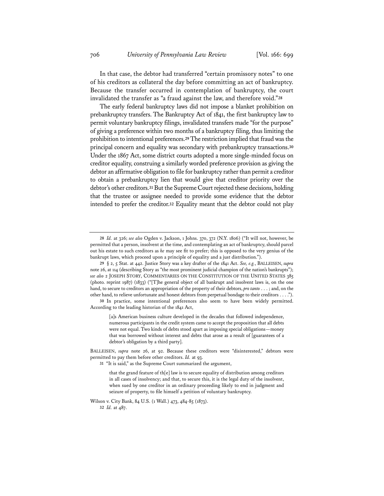In that case, the debtor had transferred "certain promissory notes" to one of his creditors as collateral the day before committing an act of bankruptcy. Because the transfer occurred in contemplation of bankruptcy, the court invalidated the transfer as "a fraud against the law, and therefore void."**<sup>28</sup>**

The early federal bankruptcy laws did not impose a blanket prohibition on prebankruptcy transfers. The Bankruptcy Act of 1841, the first bankruptcy law to permit voluntary bankruptcy filings, invalidated transfers made "for the purpose" of giving a preference within two months of a bankruptcy filing, thus limiting the prohibition to intentional preferences.**<sup>29</sup>** The restriction implied that fraud was the principal concern and equality was secondary with prebankruptcy transactions.**<sup>30</sup>** Under the 1867 Act, some district courts adopted a more single-minded focus on creditor equality, construing a similarly worded preference provision as giving the debtor an affirmative obligation to file for bankruptcy rather than permit a creditor to obtain a prebankruptcy lien that would give that creditor priority over the debtor's other creditors.**<sup>31</sup>** But the Supreme Court rejected these decisions, holding that the trustee or assignee needed to provide some evidence that the debtor intended to prefer the creditor.**<sup>32</sup>** Equality meant that the debtor could not play

**30** In practice, some intentional preferences also seem to have been widely permitted. According to the leading historian of the 1841 Act,

[a]s American business culture developed in the decades that followed independence, numerous participants in the credit system came to accept the proposition that all debts were not equal. Two kinds of debts stood apart as imposing special obligations—money that was borrowed without interest and debts that arose as a result of [guarantees of a debtor's obligation by a third party].

**31** "It is said," as the Supreme Court summarized the argument,

Wilson v. City Bank, 84 U.S. (1 Wall.) 473, 484-85 (1873). **32** *Id.* at 487.

**<sup>28</sup>** *Id.* at 326; *see also* Ogden v. Jackson, 1 Johns. 370, 372 (N.Y. 1806) ("It will not, however, be permitted that a person, insolvent at the time, and contemplating an act of bankruptcy, should parcel out his estate to such creditors as *he* may see fit to prefer; this is opposed to the very genius of the bankrupt laws, which proceed upon a principle of equality and a just distribution.").

**<sup>29</sup>** § 2, 5 Stat. at 442. Justice Story was a key drafter of the 1841 Act. *See, e.g.*, BALLEISEN, *supra* note 26, at 114 (describing Story as "the most prominent judicial champion of the nation's bankrupts"); *see also* 2 JOSEPH STORY, COMMENTARIES ON THE CONSTITUTION OF THE UNITED STATES 385 (photo. reprint 1987) (1833) ("[T]he general object of all bankrupt and insolvent laws is, on the one hand, to secure to creditors an appropriation of the property of their debtors, *pro tanto* . . . ; and, on the other hand, to relieve unfortunate and honest debtors from perpetual bondage to their creditors . . . .").

BALLEISEN, *supra* note 26, at 92. Because these creditors were "disinterested," debtors were permitted to pay them before other creditors. *Id.* at 93.

that the grand feature of th[e] law is to secure equality of distribution among creditors in all cases of insolvency; and that, to secure this, it is the legal duty of the insolvent, when sued by one creditor in an ordinary proceeding likely to end in judgment and seizure of property, to file himself a petition of voluntary bankruptcy.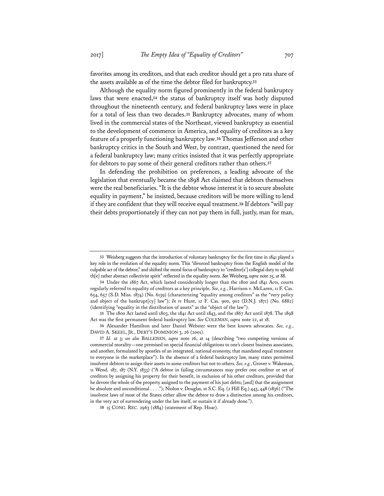favorites among its creditors, and that each creditor should get a pro rata share of the assets available as of the time the debtor filed for bankruptcy.**<sup>33</sup>**

Although the equality norm figured prominently in the federal bankruptcy laws that were enacted,**<sup>34</sup>** the status of bankruptcy itself was hotly disputed throughout the nineteenth century, and federal bankruptcy laws were in place for a total of less than two decades.**<sup>35</sup>** Bankruptcy advocates, many of whom lived in the commercial states of the Northeast, viewed bankruptcy as essential to the development of commerce in America, and equality of creditors as a key feature of a properly functioning bankruptcy law.**<sup>36</sup>** Thomas Jefferson and other bankruptcy critics in the South and West, by contrast, questioned the need for a federal bankruptcy law; many critics insisted that it was perfectly appropriate for debtors to pay some of their general creditors rather than others.**<sup>37</sup>**

In defending the prohibition on preferences, a leading advocate of the legislation that eventually became the 1898 Act claimed that debtors themselves were the real beneficiaries. "It is the debtor whose interest it is to secure absolute equality in payment," he insisted, because creditors will be more willing to lend if they are confident that they will receive equal treatment.**<sup>38</sup>** If debtors "will pay their debts proportionately if they can not pay them in full, justly, man for man,

**35** The 1800 Act lasted until 1803, the 1841 Act until 1843, and the 1867 Act until 1878. The 1898 Act was the first permanent federal bankruptcy law. *See* COLEMAN, *supra* note 22, at 18.

**36** Alexander Hamilton and later Daniel Webster were the best known advocates. *See, e.g.*, DAVID A. SKEEL, JR., DEBT'S DOMINION 3, 26 (2001).

**<sup>33</sup>** Weisberg suggests that the introduction of voluntary bankruptcy for the first time in 1841 played a key role in the evolution of the equality norm. This "divorced bankruptcy from the English model of the culpable act of the debtor," and shifted the moral focus of bankruptcy to "creditor[s'] collegial duty to uphold th[e] rather abstract collectivist spirit" reflected in the equality norm. *See* Weisberg, *supra* note 25, at 88.

**<sup>34</sup>** Under the 1867 Act, which lasted considerably longer than the 1800 and 1841 Acts, courts regularly referred to equality of creditors as a key principle. *See, e.g.*, Harrison v. McLaren, 11 F. Cas. 654, 657 (S.D. Miss. 1874) (No. 6139) (characterizing "equality among creditors" as the "very policy and object of the bankrupt[cy] law"); *In re* Hunt, 12 F. Cas. 900, 902 (D.N.J. 1871) (No. 6882) (identifying "equality in the distribution of assets" as the "object of the law").

**<sup>37</sup>** *Id.* at 3; *see also* BALLEISEN, *supra* note 26, at 14 (describing "two competing versions of commercial morality—one premised on special financial obligations to one's closest business associates, and another, formulated by apostles of an integrated, national economy, that mandated equal treatment to everyone in the marketplace"). In the absence of a federal bankruptcy law, many states permitted insolvent debtors to assign their assets to some creditors but not to others. *See, e.g.*, Grover v. Wakeman, 11 Wend. 187, 187 (N.Y. 1833) ("A debtor in failing circumstances may prefer one creditor or set of creditors by assigning his property for their benefit, in exclusion of his other creditors, provided that he devote the whole of the property assigned to the payment of his just debts; [and] that the assignment be absolute and unconditional . . . ."); Niolon v. Douglas, 10 S.C. Eq. (2 Hill Eq.) 443, 448 (1836) ("The insolvent laws of most of the States either allow the debtor to draw a distinction among his creditors, in the very act of surrendering under the law itself, or sustain it if already done.").

**<sup>38</sup>** 15 CONG. REC. 2963 (1884) (statement of Rep. Hoar).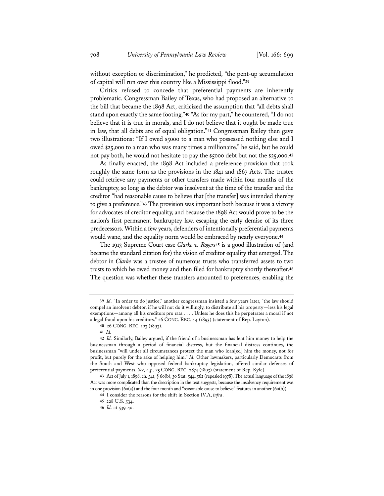without exception or discrimination," he predicted, "the pent-up accumulation of capital will run over this country like a Mississippi flood."**<sup>39</sup>**

Critics refused to concede that preferential payments are inherently problematic. Congressman Bailey of Texas, who had proposed an alternative to the bill that became the 1898 Act, criticized the assumption that "all debts shall stand upon exactly the same footing."**<sup>40</sup>** "As for my part," he countered, "I do not believe that it is true in morals, and I do not believe that it ought be made true in law, that all debts are of equal obligation."**<sup>41</sup>** Congressman Bailey then gave two illustrations: "If I owed \$5000 to a man who possessed nothing else and I owed \$25,000 to a man who was many times a millionaire," he said, but he could not pay both, he would not hesitate to pay the \$5000 debt but not the \$25,000.**<sup>42</sup>**

As finally enacted, the 1898 Act included a preference provision that took roughly the same form as the provisions in the 1841 and 1867 Acts. The trustee could retrieve any payments or other transfers made within four months of the bankruptcy, so long as the debtor was insolvent at the time of the transfer and the creditor "had reasonable cause to believe that [the transfer] was intended thereby to give a preference."**<sup>43</sup>** The provision was important both because it was a victory for advocates of creditor equality, and because the 1898 Act would prove to be the nation's first permanent bankruptcy law, escaping the early demise of its three predecessors. Within a few years, defenders of intentionally preferential payments would wane, and the equality norm would be embraced by nearly everyone.**<sup>44</sup>**

The 1913 Supreme Court case *Clarke v. Rogers***<sup>45</sup>** is a good illustration of (and became the standard citation for) the vision of creditor equality that emerged. The debtor in *Clarke* was a trustee of numerous trusts who transferred assets to two trusts to which he owed money and then filed for bankruptcy shortly thereafter.**<sup>46</sup>** The question was whether these transfers amounted to preferences, enabling the

**<sup>39</sup>** *Id.* "In order to do justice," another congressman insisted a few years later, "the law should compel an insolvent debtor, if he will not do it willingly, to distribute all his property—less his legal exemptions—among all his creditors pro rata . . . . Unless he does this he perpetrates a moral if not a legal fraud upon his creditors." 26 CONG. REC. 44 (1893) (statement of Rep. Layton).

**<sup>40</sup>** 26 CONG. REC. 103 (1893).

**<sup>41</sup>** *Id.*

**<sup>42</sup>** *Id.* Similarly, Bailey argued, if the friend of a businessman has lent him money to help the businessman through a period of financial distress, but the financial distress continues, the businessman "will under all circumstances protect the man who loan[ed] him the money, not for profit, but purely for the sake of helping him." *Id.* Other lawmakers, particularly Democrats from the South and West who opposed federal bankruptcy legislation, offered similar defenses of preferential payments. *See, e.g.*, 25 CONG. REC. 2874 (1893) (statement of Rep. Kyle).

**<sup>43</sup>** Act of July 1, 1898, ch. 541, § 60(b), 30 Stat. 544, 562 (repealed 1978). The actual language of the 1898 Act was more complicated than the description in the text suggests, because the insolvency requirement was in one provision  $(60(a))$  and the four month and "reasonable cause to believe" features in another  $(60(b))$ .

**<sup>44</sup>** I consider the reasons for the shift in Section IV.A, *infra*.

**<sup>45</sup>** 228 U.S. 534.

**<sup>46</sup>** *Id.* at 539-40.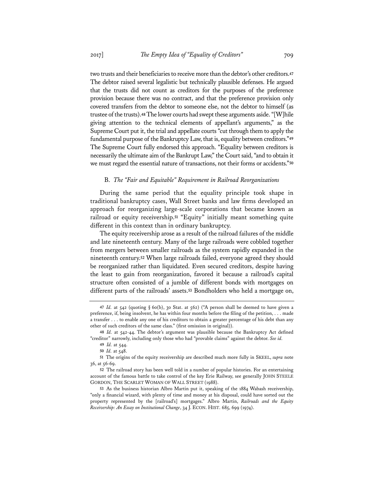two trusts and their beneficiaries to receive more than the debtor's other creditors.**<sup>47</sup>** The debtor raised several legalistic but technically plausible defenses. He argued that the trusts did not count as creditors for the purposes of the preference provision because there was no contract, and that the preference provision only covered transfers from the debtor to someone else, not the debtor to himself (as trustee of the trusts).**<sup>48</sup>** The lower courts had swept these arguments aside. "[W]hile giving attention to the technical elements of appellant's arguments," as the Supreme Court put it, the trial and appellate courts "cut through them to apply the fundamental purpose of the Bankruptcy Law, that is, equality between creditors."**<sup>49</sup>** The Supreme Court fully endorsed this approach. "Equality between creditors is necessarily the ultimate aim of the Bankrupt Law," the Court said, "and to obtain it we must regard the essential nature of transactions, not their forms or accidents."**<sup>50</sup>**

#### B. *The "Fair and Equitable" Requirement in Railroad Reorganizations*

During the same period that the equality principle took shape in traditional bankruptcy cases, Wall Street banks and law firms developed an approach for reorganizing large-scale corporations that became known as railroad or equity receivership.**<sup>51</sup>** "Equity" initially meant something quite different in this context than in ordinary bankruptcy.

The equity receivership arose as a result of the railroad failures of the middle and late nineteenth century. Many of the large railroads were cobbled together from mergers between smaller railroads as the system rapidly expanded in the nineteenth century.**<sup>52</sup>** When large railroads failed, everyone agreed they should be reorganized rather than liquidated. Even secured creditors, despite having the least to gain from reorganization, favored it because a railroad's capital structure often consisted of a jumble of different bonds with mortgages on different parts of the railroads' assets.**<sup>53</sup>** Bondholders who held a mortgage on,

**<sup>47</sup>** *Id.* at 542 (quoting § 60(b), 30 Stat. at 562) ("A person shall be deemed to have given a preference, if, being insolvent, he has within four months before the filing of the petition, . . . made a transfer . . . to enable any one of his creditors to obtain a greater percentage of his debt than any other of such creditors of the same class." (first omission in original)).

**<sup>48</sup>** *Id.* at 542-44. The debtor's argument was plausible because the Bankruptcy Act defined "creditor" narrowly, including only those who had "provable claims" against the debtor. *See id.*

**<sup>49</sup>** *Id.* at 544.

**<sup>50</sup>** *Id.* at 548.

**<sup>51</sup>** The origins of the equity receivership are described much more fully in SKEEL, *supra* note 36, at 56-69.

**<sup>52</sup>** The railroad story has been well told in a number of popular histories. For an entertaining account of the famous battle to take control of the key Erie Railway, see generally JOHN STEELE GORDON, THE SCARLET WOMAN OF WALL STREET (1988).

**<sup>53</sup>** As the business historian Albro Martin put it, speaking of the 1884 Wabash receivership, "only a financial wizard, with plenty of time and money at his disposal, could have sorted out the property represented by the [railroad's] mortgages." Albro Martin, *Railroads and the Equity Receivership: An Essay on Institutional Change*, 34 J. ECON. HIST. 685, 699 (1974).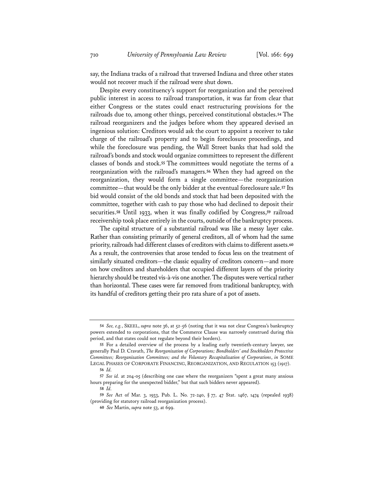say, the Indiana tracks of a railroad that traversed Indiana and three other states would not recover much if the railroad were shut down.

Despite every constituency's support for reorganization and the perceived public interest in access to railroad transportation, it was far from clear that either Congress or the states could enact restructuring provisions for the railroads due to, among other things, perceived constitutional obstacles.**<sup>54</sup>** The railroad reorganizers and the judges before whom they appeared devised an ingenious solution: Creditors would ask the court to appoint a receiver to take charge of the railroad's property and to begin foreclosure proceedings, and while the foreclosure was pending, the Wall Street banks that had sold the railroad's bonds and stock would organize committees to represent the different classes of bonds and stock.**<sup>55</sup>** The committees would negotiate the terms of a reorganization with the railroad's managers.**<sup>56</sup>** When they had agreed on the reorganization, they would form a single committee—the reorganization committee—that would be the only bidder at the eventual foreclosure sale.**<sup>57</sup>** Its bid would consist of the old bonds and stock that had been deposited with the committee, together with cash to pay those who had declined to deposit their securities.**<sup>58</sup>** Until 1933, when it was finally codified by Congress,**<sup>59</sup>** railroad receivership took place entirely in the courts, outside of the bankruptcy process.

The capital structure of a substantial railroad was like a messy layer cake. Rather than consisting primarily of general creditors, all of whom had the same priority, railroads had different classes of creditors with claims to different assets.**<sup>60</sup>** As a result, the controversies that arose tended to focus less on the treatment of similarly situated creditors—the classic equality of creditors concern—and more on how creditors and shareholders that occupied different layers of the priority hierarchy should be treated vis-à-vis one another. The disputes were vertical rather than horizontal. These cases were far removed from traditional bankruptcy, with its handful of creditors getting their pro rata share of a pot of assets.

**<sup>54</sup>** *See, e.g.*, SKEEL, *supra* note 36, at 52-56 (noting that it was not clear Congress's bankruptcy powers extended to corporations, that the Commerce Clause was narrowly construed during this period, and that states could not regulate beyond their borders).

**<sup>55</sup>** For a detailed overview of the process by a leading early twentieth-century lawyer, see generally Paul D. Cravath, *The Reorganization of Corporations; Bondholders' and Stockholders Protective Committees; Reorganization Committees; and the Voluntary Recapitalization of Corporations*, *in* SOME LEGAL PHASES OF CORPORATE FINANCING, REORGANIZATION, AND REGULATION 153 (1917).

**<sup>56</sup>** *Id.* 

**<sup>57</sup>** *See id.* at 204-05 (describing one case where the reorganizers "spent a great many anxious hours preparing for the unexpected bidder," but that such bidders never appeared).

**<sup>58</sup>** *Id.* 

**<sup>59</sup>** *See* Act of Mar. 3, 1933, Pub. L. No. 72-240, § 77, 47 Stat. 1467, 1474 (repealed 1938) (providing for statutory railroad reorganization process).

**<sup>60</sup>** *See* Martin, *supra* note 53, at 699.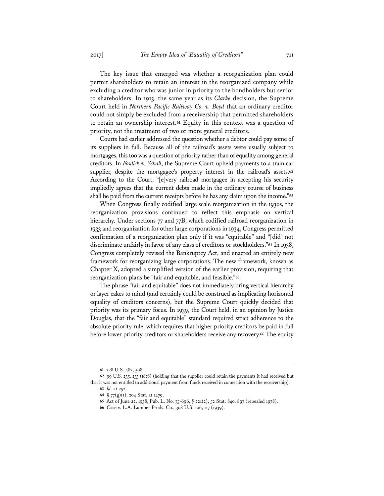The key issue that emerged was whether a reorganization plan could permit shareholders to retain an interest in the reorganized company while excluding a creditor who was junior in priority to the bondholders but senior to shareholders. In 1913, the same year as its *Clarke* decision, the Supreme Court held in *Northern Pacific Railway Co. v. Boyd* that an ordinary creditor could not simply be excluded from a receivership that permitted shareholders to retain an ownership interest.**<sup>61</sup>** Equity in this context was a question of priority, not the treatment of two or more general creditors.

Courts had earlier addressed the question whether a debtor could pay some of its suppliers in full. Because all of the railroad's assets were usually subject to mortgages, this too was a question of priority rather than of equality among general creditors. In *Fosdick v. Schall*, the Supreme Court upheld payments to a train car supplier, despite the mortgagee's property interest in the railroad's assets.**<sup>62</sup>** According to the Court, "[e]very railroad mortgagee in accepting his security impliedly agrees that the current debts made in the ordinary course of business shall be paid from the current receipts before he has any claim upon the income."**<sup>63</sup>**

When Congress finally codified large scale reorganization in the 1930s, the reorganization provisions continued to reflect this emphasis on vertical hierarchy. Under sections 77 and 77B, which codified railroad reorganization in 1933 and reorganization for other large corporations in 1934, Congress permitted confirmation of a reorganization plan only if it was "equitable" and "[did] not discriminate unfairly in favor of any class of creditors or stockholders."**<sup>64</sup>** In 1938, Congress completely revised the Bankruptcy Act, and enacted an entirely new framework for reorganizing large corporations. The new framework, known as Chapter X, adopted a simplified version of the earlier provision, requiring that reorganization plans be "fair and equitable, and feasible."**<sup>65</sup>**

The phrase "fair and equitable" does not immediately bring vertical hierarchy or layer cakes to mind (and certainly could be construed as implicating horizontal equality of creditors concerns), but the Supreme Court quickly decided that priority was its primary focus. In 1939, the Court held, in an opinion by Justice Douglas, that the "fair and equitable" standard required strict adherence to the absolute priority rule, which requires that higher priority creditors be paid in full before lower priority creditors or shareholders receive any recovery.**<sup>66</sup>** The equity

**<sup>61</sup>** 228 U.S. 482, 508.

**<sup>62</sup>** 99 U.S. 235, 255 (1878) (holding that the supplier could retain the payments it had received but that it was not entitled to additional payment from funds received in connection with the receivership).

**<sup>63</sup>** *Id.* at 252.

**<sup>64</sup>** § 77(g)(1), 204 Stat. at 1479.

**<sup>65</sup>** Act of June 22, 1938, Pub. L. No. 75-696, § 221(2), 52 Stat. 840, 897 (repealed 1978).

**<sup>66</sup>** Case v. L.A. Lumber Prods. Co., 308 U.S. 106, 117 (1939).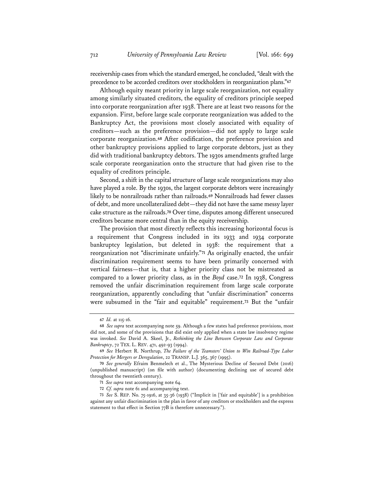receivership cases from which the standard emerged, he concluded, "dealt with the precedence to be accorded creditors over stockholders in reorganization plans."**<sup>67</sup>**

Although equity meant priority in large scale reorganization, not equality among similarly situated creditors, the equality of creditors principle seeped into corporate reorganization after 1938. There are at least two reasons for the expansion. First, before large scale corporate reorganization was added to the Bankruptcy Act, the provisions most closely associated with equality of creditors—such as the preference provision—did not apply to large scale corporate reorganization.**<sup>68</sup>** After codification, the preference provision and other bankruptcy provisions applied to large corporate debtors, just as they did with traditional bankruptcy debtors. The 1930s amendments grafted large scale corporate reorganization onto the structure that had given rise to the equality of creditors principle.

Second, a shift in the capital structure of large scale reorganizations may also have played a role. By the 1930s, the largest corporate debtors were increasingly likely to be nonrailroads rather than railroads.**<sup>69</sup>** Nonrailroads had fewer classes of debt, and more uncollateralized debt—they did not have the same messy layer cake structure as the railroads.**<sup>70</sup>** Over time, disputes among different unsecured creditors became more central than in the equity receivership.

The provision that most directly reflects this increasing horizontal focus is a requirement that Congress included in its 1933 and 1934 corporate bankruptcy legislation, but deleted in 1938: the requirement that a reorganization not "discriminate unfairly."**<sup>71</sup>** As originally enacted, the unfair discrimination requirement seems to have been primarily concerned with vertical fairness—that is, that a higher priority class not be mistreated as compared to a lower priority class, as in the *Boyd* case.**<sup>72</sup>** In 1938, Congress removed the unfair discrimination requirement from large scale corporate reorganization, apparently concluding that "unfair discrimination" concerns were subsumed in the "fair and equitable" requirement.**<sup>73</sup>** But the "unfair

**<sup>67</sup>** *Id.* at 115-16.

**<sup>68</sup>** *See supra* text accompanying note 59. Although a few states had preference provisions, most did not, and some of the provisions that did exist only applied when a state law insolvency regime was invoked. *See* David A. Skeel, Jr., *Rethinking the Line Between Corporate Law and Corporate Bankruptcy*, 72 TEX. L. REV. 471, 492-93 (1994).

**<sup>69</sup>** *See* Herbert R. Northrup, *The Failure of the Teamsters' Union to Win Railroad-Type Labor Protection for Mergers or Deregulation*, 22 TRANSP. L.J. 365, 367 (1995).

**<sup>70</sup>** *See generally* Efraim Benmelech et al., The Mysterious Decline of Secured Debt (2016) (unpublished manuscript) (on file with author) (documenting declining use of secured debt throughout the twentieth century).

**<sup>71</sup>** *See supra* text accompanying note 64.

**<sup>72</sup>** *Cf. supra* note 61 and accompanying text.

**<sup>73</sup>** *See* S. REP. No. 75-1916, at 35-36 (1938) ("Implicit in ['fair and equitable'] is a prohibition against any unfair discrimination in the plan in favor of any creditors or stockholders and the express statement to that effect in Section 77B is therefore unnecessary.").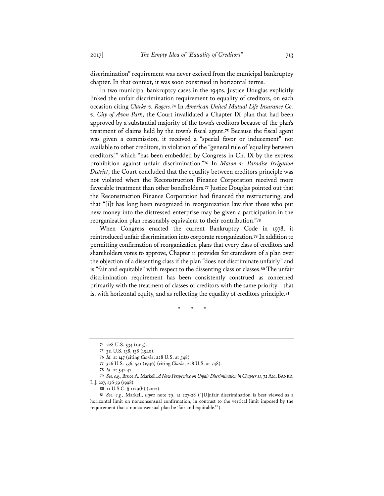discrimination" requirement was never excised from the municipal bankruptcy chapter. In that context, it was soon construed in horizontal terms.

In two municipal bankruptcy cases in the 1940s, Justice Douglas explicitly linked the unfair discrimination requirement to equality of creditors, on each occasion citing *Clarke v. Rogers*.**<sup>74</sup>** In *American United Mutual Life Insurance Co. v. City of Avon Park*, the Court invalidated a Chapter IX plan that had been approved by a substantial majority of the town's creditors because of the plan's treatment of claims held by the town's fiscal agent.**<sup>75</sup>** Because the fiscal agent was given a commission, it received a "special favor or inducement" not available to other creditors, in violation of the "general rule of 'equality between creditors,'" which "has been embedded by Congress in Ch. IX by the express prohibition against unfair discrimination."**<sup>76</sup>** In *Mason v. Paradise Irrigation District*, the Court concluded that the equality between creditors principle was not violated when the Reconstruction Finance Corporation received more favorable treatment than other bondholders.**<sup>77</sup>** Justice Douglas pointed out that the Reconstruction Finance Corporation had financed the restructuring, and that "[i]t has long been recognized in reorganization law that those who put new money into the distressed enterprise may be given a participation in the reorganization plan reasonably equivalent to their contribution."**<sup>78</sup>**

When Congress enacted the current Bankruptcy Code in 1978, it reintroduced unfair discrimination into corporate reorganization.**<sup>79</sup>** In addition to permitting confirmation of reorganization plans that every class of creditors and shareholders votes to approve, Chapter 11 provides for cramdown of a plan over the objection of a dissenting class if the plan "does not discriminate unfairly" and is "fair and equitable" with respect to the dissenting class or classes.**<sup>80</sup>** The unfair discrimination requirement has been consistently construed as concerned primarily with the treatment of classes of creditors with the same priority—that is, with horizontal equity, and as reflecting the equality of creditors principle.**<sup>81</sup>**

\* \* \*

**<sup>74</sup>** 228 U.S. 534 (1913).

**<sup>75</sup>** 311 U.S. 138, 138 (1940).

**<sup>76</sup>** *Id.* at 147 (citing *Clarke*, 228 U.S. at 548).

**<sup>77</sup>** 326 U.S. 536, 541 (1946) (citing *Clarke*, 228 U.S. at 548).

**<sup>78</sup>** *Id.* at 541-42.

**<sup>79</sup>** *See, e.g.*, Bruce A. Markell, *A New Perspective on Unfair Discrimination in Chapter 11*, 72 AM.BANKR. L.J. 227, 236-39 (1998).

**<sup>80</sup>** 11 U.S.C. § 1129(b) (2012).

**<sup>81</sup>** *See, e.g.,* Markell, *supra* note 79, at 227-28 ("[U]nfair discrimination is best viewed as a horizontal limit on nonconsensual confirmation, in contrast to the vertical limit imposed by the requirement that a nonconsensual plan be 'fair and equitable.'").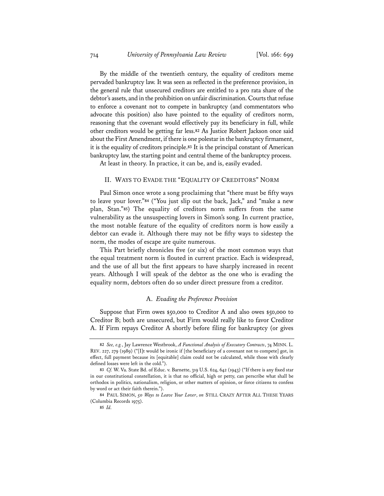By the middle of the twentieth century, the equality of creditors meme pervaded bankruptcy law. It was seen as reflected in the preference provision, in the general rule that unsecured creditors are entitled to a pro rata share of the debtor's assets, and in the prohibition on unfair discrimination. Courts that refuse to enforce a covenant not to compete in bankruptcy (and commentators who advocate this position) also have pointed to the equality of creditors norm, reasoning that the covenant would effectively pay its beneficiary in full, while other creditors would be getting far less.**<sup>82</sup>** As Justice Robert Jackson once said about the First Amendment, if there is one polestar in the bankruptcy firmament, it is the equality of creditors principle.**<sup>83</sup>** It is the principal constant of American bankruptcy law, the starting point and central theme of the bankruptcy process.

At least in theory. In practice, it can be, and is, easily evaded.

#### II. WAYS TO EVADE THE "EQUALITY OF CREDITORS" NORM

Paul Simon once wrote a song proclaiming that "there must be fifty ways to leave your lover."**<sup>84</sup>** ("You just slip out the back, Jack," and "make a new plan, Stan."**<sup>85</sup>**) The equality of creditors norm suffers from the same vulnerability as the unsuspecting lovers in Simon's song. In current practice, the most notable feature of the equality of creditors norm is how easily a debtor can evade it. Although there may not be fifty ways to sidestep the norm, the modes of escape are quite numerous.

This Part briefly chronicles five (or six) of the most common ways that the equal treatment norm is flouted in current practice. Each is widespread, and the use of all but the first appears to have sharply increased in recent years. Although I will speak of the debtor as the one who is evading the equality norm, debtors often do so under direct pressure from a creditor.

#### A. *Evading the Preference Provision*

Suppose that Firm owes \$50,000 to Creditor A and also owes \$50,000 to Creditor B; both are unsecured, but Firm would really like to favor Creditor A. If Firm repays Creditor A shortly before filing for bankruptcy (or gives

**<sup>82</sup>** *See, e.g.*, Jay Lawrence Westbrook, *A Functional Analysis of Executory Contracts*, 74 MINN. L. REV. 227, 279 (1989) ("[I]t would be ironic if [the beneficiary of a covenant not to compete] got, in effect, full payment because its [equitable] claim could not be calculated, while those with clearly defined losses were left in the cold.").

**<sup>83</sup>** *Cf.* W. Va. State Bd. of Educ. v. Barnette, 319 U.S. 624, 642 (1943) ("If there is any fixed star in our constitutional constellation, it is that no official, high or petty, can perscribe what shall be orthodox in politics, nationalism, religion, or other matters of opinion, or force citizens to confess by word or act their faith therein.").

**<sup>84</sup>** PAUL SIMON, *50 Ways to Leave Your Lover*, *on* STILL CRAZY AFTER ALL THESE YEARS (Columbia Records 1975).

**<sup>85</sup>** *Id.*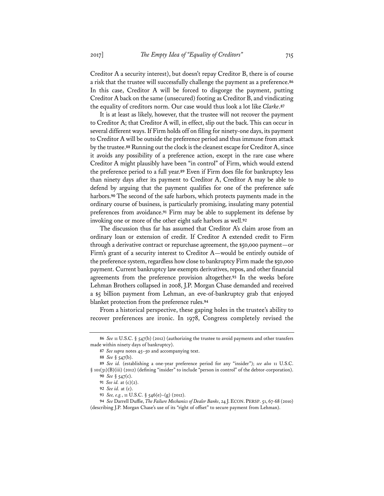Creditor A a security interest), but doesn't repay Creditor B, there is of course a risk that the trustee will successfully challenge the payment as a preference.**<sup>86</sup>** In this case, Creditor A will be forced to disgorge the payment, putting Creditor A back on the same (unsecured) footing as Creditor B, and vindicating the equality of creditors norm. Our case would thus look a lot like *Clarke*.**<sup>87</sup>**

It is at least as likely, however, that the trustee will not recover the payment to Creditor A; that Creditor A will, in effect, slip out the back. This can occur in several different ways. If Firm holds off on filing for ninety-one days, its payment to Creditor A will be outside the preference period and thus immune from attack by the trustee.**<sup>88</sup>** Running out the clock is the cleanest escape for Creditor A, since it avoids any possibility of a preference action, except in the rare case where Creditor A might plausibly have been "in control" of Firm, which would extend the preference period to a full year.**<sup>89</sup>** Even if Firm does file for bankruptcy less than ninety days after its payment to Creditor A, Creditor A may be able to defend by arguing that the payment qualifies for one of the preference safe harbors.**<sup>90</sup>** The second of the safe harbors, which protects payments made in the ordinary course of business, is particularly promising, insulating many potential preferences from avoidance.**<sup>91</sup>** Firm may be able to supplement its defense by invoking one or more of the other eight safe harbors as well.**<sup>92</sup>**

The discussion thus far has assumed that Creditor A's claim arose from an ordinary loan or extension of credit. If Creditor A extended credit to Firm through a derivative contract or repurchase agreement, the \$50,000 payment—or Firm's grant of a security interest to Creditor A—would be entirely outside of the preference system, regardless how close to bankruptcy Firm made the \$50,000 payment. Current bankruptcy law exempts derivatives, repos, and other financial agreements from the preference provision altogether.**<sup>93</sup>** In the weeks before Lehman Brothers collapsed in 2008, J.P. Morgan Chase demanded and received a \$5 billion payment from Lehman, an eve-of-bankruptcy grab that enjoyed blanket protection from the preference rules.**<sup>94</sup>**

From a historical perspective, these gaping holes in the trustee's ability to recover preferences are ironic. In 1978, Congress completely revised the

**<sup>86</sup>** *See* 11 U.S.C. § 547(b) (2012) (authorizing the trustee to avoid payments and other transfers made within ninety days of bankruptcy).

**<sup>87</sup>** *See supra* notes 45–50 and accompanying text.

**<sup>88</sup>** *See* § 547(b).

**<sup>89</sup>** *See id.* (establishing a one-year preference period for any "insider"); *see also* 11 U.S.C. § 101(31)(B)(iii) (2012) (defining "insider" to include "person in control" of the debtor-corporation). **90** *See* § 547(c).

**<sup>91</sup>** *See id.* at (c)(2).

**<sup>92</sup>** *See id.* at (c).

**<sup>93</sup>** *See, e.g.*, 11 U.S.C. § 546(e)–(g) (2012).

**<sup>94</sup>** *See* Darrell Duffie, *The Failure Mechanics of Dealer Banks*, 24 J. ECON. PERSP. 51, 67-68 (2010) (describing J.P. Morgan Chase's use of its "right of offset" to secure payment from Lehman).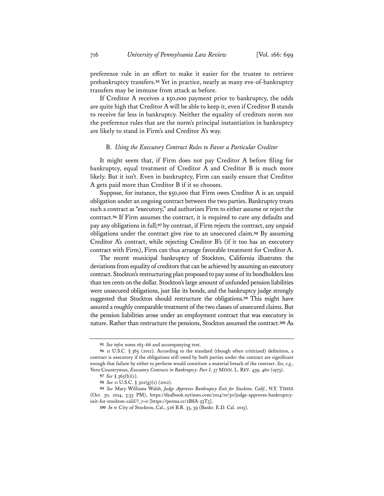preference rule in an effort to make it easier for the trustee to retrieve prebankruptcy transfers.**<sup>95</sup>** Yet in practice, nearly as many eve-of-bankruptcy transfers may be immune from attack as before.

If Creditor A receives a \$50,000 payment prior to bankruptcy, the odds are quite high that Creditor A will be able to keep it, even if Creditor B stands to receive far less in bankruptcy. Neither the equality of creditors norm nor the preference rules that are the norm's principal instantiation in bankruptcy are likely to stand in Firm's and Creditor A's way.

#### B. *Using the Executory Contract Rules to Favor a Particular Creditor*

It might seem that, if Firm does not pay Creditor A before filing for bankruptcy, equal treatment of Creditor A and Creditor B is much more likely. But it isn't. Even in bankruptcy, Firm can easily ensure that Creditor A gets paid more than Creditor B if it so chooses.

Suppose, for instance, the \$50,000 that Firm owes Creditor A is an unpaid obligation under an ongoing contract between the two parties. Bankruptcy treats such a contract as "executory," and authorizes Firm to either assume or reject the contract.**<sup>96</sup>** If Firm assumes the contract, it is required to cure any defaults and pay any obligations in full;**<sup>97</sup>** by contrast, if Firm rejects the contract, any unpaid obligations under the contract give rise to an unsecured claim.**<sup>98</sup>** By assuming Creditor A's contract, while rejecting Creditor B's (if it too has an executory contract with Firm), Firm can thus arrange favorable treatment for Creditor A.

The recent municipal bankruptcy of Stockton, California illustrates the deviations from equality of creditors that can be achieved by assuming an executory contract. Stockton's restructuring plan proposed to pay some of its bondholders less than ten cents on the dollar. Stockton's large amount of unfunded pension liabilities were unsecured obligations, just like its bonds, and the bankruptcy judge strongly suggested that Stockton should restructure the obligations.**<sup>99</sup>** This might have assured a roughly comparable treatment of the two classes of unsecured claims. But the pension liabilities arose under an employment contract that was executory in nature. Rather than restructure the pensions, Stockton assumed the contract.**<sup>100</sup>** As

**<sup>95</sup>** *See infra* notes 163–66 and accompanying text.

**<sup>96</sup>** 11 U.S.C. § 365 (2012). According to the standard (though often criticized) definition, a contract is executory if the obligations still owed by both parties under the contract are significant enough that failure by either to perform would constitute a material breach of the contract. *See, e.g.*, Vern Countryman, *Executory Contracts in Bankruptcy: Part I*, 57 MINN. L. REV. 439, 460 (1973).

**<sup>97</sup>** *See* § 365(b)(1).

**<sup>98</sup>** *See* 11 U.S.C. § 502(g)(1) (2012).

**<sup>99</sup>** *See* Mary Williams Walsh, *Judge Approves Bankruptcy Exit for Stockton, Calif.*, N.Y. TIMES (Oct. 30, 2014, 3:35 PM), https://dealbook.nytimes.com/2014/10/30/judge-approves-bankruptcyexit-for-stockton-calif/?\_r=0 [https://perma.cc/2B8A-55T3].

**<sup>100</sup>** *In re* City of Stockton, Cal., 526 B.R. 35, 39 (Bankr. E.D. Cal. 2015).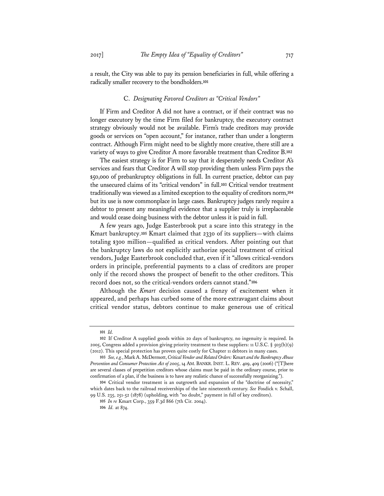a result, the City was able to pay its pension beneficiaries in full, while offering a radically smaller recovery to the bondholders.**<sup>101</sup>**

#### C. *Designating Favored Creditors as "Critical Vendors"*

If Firm and Creditor A did not have a contract, or if their contract was no longer executory by the time Firm filed for bankruptcy, the executory contract strategy obviously would not be available. Firm's trade creditors may provide goods or services on "open account," for instance, rather than under a longterm contract. Although Firm might need to be slightly more creative, there still are a variety of ways to give Creditor A more favorable treatment than Creditor B.**<sup>102</sup>**

The easiest strategy is for Firm to say that it desperately needs Creditor A's services and fears that Creditor A will stop providing them unless Firm pays the \$50,000 of prebankruptcy obligations in full. In current practice, debtor can pay the unsecured claims of its "critical vendors" in full.**<sup>103</sup>** Critical vendor treatment traditionally was viewed as a limited exception to the equality of creditors norm,**<sup>104</sup>** but its use is now commonplace in large cases. Bankruptcy judges rarely require a debtor to present any meaningful evidence that a supplier truly is irreplaceable and would cease doing business with the debtor unless it is paid in full.

A few years ago, Judge Easterbrook put a scare into this strategy in the Kmart bankruptcy.**<sup>105</sup>** Kmart claimed that 2330 of its suppliers—with claims totaling \$300 million—qualified as critical vendors. After pointing out that the bankruptcy laws do not explicitly authorize special treatment of critical vendors, Judge Easterbrook concluded that, even if it "allows critical-vendors orders in principle, preferential payments to a class of creditors are proper only if the record shows the prospect of benefit to the other creditors. This record does not, so the critical-vendors orders cannot stand."**<sup>106</sup>**

Although the *Kmart* decision caused a frenzy of excitement when it appeared, and perhaps has curbed some of the more extravagant claims about critical vendor status, debtors continue to make generous use of critical

**<sup>101</sup>** *Id.* 

**<sup>102</sup>** If Creditor A supplied goods within 20 days of bankruptcy, no ingenuity is required. In 2005, Congress added a provision giving priority treatment to these suppliers: 11 U.S.C. § 503(b)(9) (2012). This special protection has proven quite costly for Chapter 11 debtors in many cases.

**<sup>103</sup>** *See, e.g.*, Mark A. McDermott, *Critical Vendor and Related Orders:* Kmart *and the Bankruptcy Abuse Prevention and Consumer Protection Act of 2005*, 14 AM. BANKR.INST. L. REV. 409, 409 (2006) ("[T]here are several classes of prepetition creditors whose claims must be paid in the ordinary course, prior to confirmation of a plan, if the business is to have any realistic chance of successfully reorganizing.").

**<sup>104</sup>** Critical vendor treatment is an outgrowth and expansion of the "doctrine of necessity," which dates back to the railroad receiverships of the late nineteenth century. *See* Fosdick v. Schall, 99 U.S. 235, 251-52 (1878) (upholding, with "no doubt," payment in full of key creditors).

**<sup>105</sup>** *In re* Kmart Corp., 359 F.3d 866 (7th Cir. 2004).

**<sup>106</sup>** *Id.* at 874.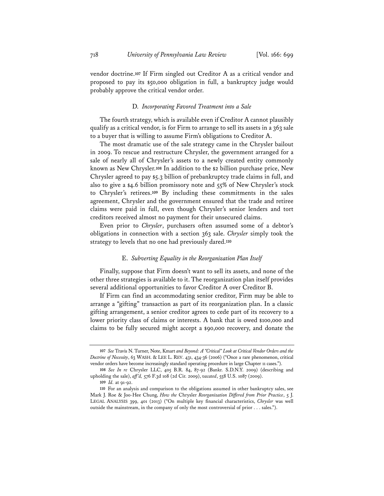vendor doctrine.**<sup>107</sup>** If Firm singled out Creditor A as a critical vendor and proposed to pay its \$50,000 obligation in full, a bankruptcy judge would probably approve the critical vendor order.

#### D. *Incorporating Favored Treatment into a Sale*

The fourth strategy, which is available even if Creditor A cannot plausibly qualify as a critical vendor, is for Firm to arrange to sell its assets in a 363 sale to a buyer that is willing to assume Firm's obligations to Creditor A.

The most dramatic use of the sale strategy came in the Chrysler bailout in 2009. To rescue and restructure Chrysler, the government arranged for a sale of nearly all of Chrysler's assets to a newly created entity commonly known as New Chrysler.**<sup>108</sup>** In addition to the \$2 billion purchase price, New Chrysler agreed to pay \$5.3 billion of prebankruptcy trade claims in full, and also to give a \$4.6 billion promissory note and 55% of New Chrysler's stock to Chrysler's retirees.**<sup>109</sup>** By including these commitments in the sales agreement, Chrysler and the government ensured that the trade and retiree claims were paid in full, even though Chrysler's senior lenders and tort creditors received almost no payment for their unsecured claims.

Even prior to *Chrysler*, purchasers often assumed some of a debtor's obligations in connection with a section 363 sale. *Chrysler* simply took the strategy to levels that no one had previously dared.**<sup>110</sup>**

#### E. *Subverting Equality in the Reorganization Plan Itself*

Finally, suppose that Firm doesn't want to sell its assets, and none of the other three strategies is available to it. The reorganization plan itself provides several additional opportunities to favor Creditor A over Creditor B.

If Firm can find an accommodating senior creditor, Firm may be able to arrange a "gifting" transaction as part of its reorganization plan. In a classic gifting arrangement, a senior creditor agrees to cede part of its recovery to a lower priority class of claims or interests. A bank that is owed \$100,000 and claims to be fully secured might accept a \$90,000 recovery, and donate the

**<sup>107</sup>** *See* Travis N. Turner, Note, Kmart *and Beyond: A "Critical" Look at Critical Vendor Orders and the Doctrine of Necessity*, 63 WASH. & LEE L. REV. 431, 434-36 (2006) ("Once a rare phenomenon, critical vendor orders have become increasingly standard operating procedure in large Chapter 11 cases.").

**<sup>108</sup>** *See In re* Chrysler LLC, 405 B.R. 84, 87-92 (Bankr. S.D.N.Y. 2009) (describing and upholding the sale), *aff 'd,* 576 F.3d 108 (2d Cir. 2009), *vacated*, 558 U.S. 1087 (2009).

**<sup>109</sup>** *Id.* at 91-92.

**<sup>110</sup>** For an analysis and comparison to the obligations assumed in other bankruptcy sales, see Mark J. Roe & Joo-Hee Chung, *How the* Chrysler *Reorganization Differed from Prior Practice*, 5 J. LEGAL ANALYSIS 399, 401 (2013) ("On multiple key financial characteristics, *Chrysler* was well outside the mainstream, in the company of only the most controversial of prior . . . sales.").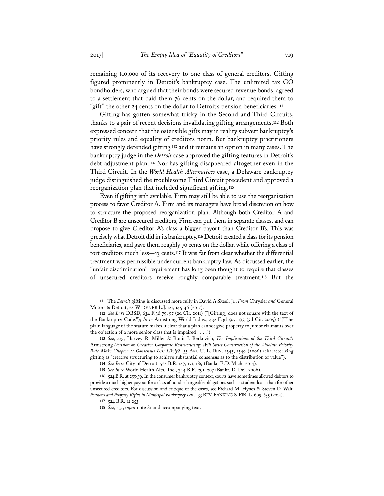remaining \$10,000 of its recovery to one class of general creditors. Gifting figured prominently in Detroit's bankruptcy case. The unlimited tax GO bondholders, who argued that their bonds were secured revenue bonds, agreed to a settlement that paid them 76 cents on the dollar, and required them to "gift" the other 24 cents on the dollar to Detroit's pension beneficiaries.**<sup>111</sup>**

Gifting has gotten somewhat tricky in the Second and Third Circuits, thanks to a pair of recent decisions invalidating gifting arrangements.**<sup>112</sup>** Both expressed concern that the ostensible gifts may in reality subvert bankruptcy's priority rules and equality of creditors norm. But bankruptcy practitioners have strongly defended gifting,**<sup>113</sup>** and it remains an option in many cases. The bankruptcy judge in the *Detroit* case approved the gifting features in Detroit's debt adjustment plan.**<sup>114</sup>** Nor has gifting disappeared altogether even in the Third Circuit. In the *World Health Alternatives* case, a Delaware bankruptcy judge distinguished the troublesome Third Circuit precedent and approved a reorganization plan that included significant gifting.**<sup>115</sup>**

Even if gifting isn't available, Firm may still be able to use the reorganization process to favor Creditor A. Firm and its managers have broad discretion on how to structure the proposed reorganization plan. Although both Creditor A and Creditor B are unsecured creditors, Firm can put them in separate classes, and can propose to give Creditor A's class a bigger payout than Creditor B's. This was precisely what Detroit did in its bankruptcy.**<sup>116</sup>** Detroit created a class for its pension beneficiaries, and gave them roughly 70 cents on the dollar, while offering a class of tort creditors much less—13 cents.**<sup>117</sup>** It was far from clear whether the differential treatment was permissible under current bankruptcy law. As discussed earlier, the "unfair discrimination" requirement has long been thought to require that classes of unsecured creditors receive roughly comparable treatment.**<sup>118</sup>** But the

**<sup>111</sup>** The *Detroit* gifting is discussed more fully in David A Skeel, Jr., *From* Chrysler *and* General Motors *to* Detroit, 24 WIDENER L.J. 121, 145-46 (2015).

**<sup>112</sup>** *See In re* DBSD, 634 F.3d 79, 97 (2d Cir. 2011) ("[Gifting] does not square with the text of the Bankruptcy Code."); *In re* Armstrong World Indus., 432 F.3d 507, 513 (3d Cir. 2005) ("[T]he plain language of the statute makes it clear that a plan cannot give property to junior claimants over the objection of a more senior class that is impaired  $\dots$ .").

**<sup>113</sup>** *See, e.g.*, Harvey R. Miller & Ronit J. Berkovich, *The Implications of the Third Circuit's*  Armstrong *Decision on Creative Corporate Restructuring: Will Strict Construction of the Absolute Priority Rule Make Chapter 11 Consensus Less Likely?*, 55 AM. U. L. REV. 1345, 1349 (2006) (characterizing gifting as "creative structuring to achieve substantial consensus as to the distribution of value").

**<sup>114</sup>** *See In re* City of Detroit, 524 B.R. 147, 171, 189 (Bankr. E.D. Mich. 2014).

**<sup>115</sup>** *See In re* World Health Alts., Inc., 344 B.R. 291, 297 (Bankr. D. Del. 2006).

**<sup>116</sup>** 524 B.R. at 255-59. In the consumer bankruptcy context, courts have sometimes allowed debtors to provide a much higher payout for a class of nondischargeable obligations such as student loans than for other unsecured creditors. For discussion and critique of the cases, see Richard M. Hynes & Steven D. Walt, Pensions and Property Rights in Municipal Bankruptcy Law, 33 REV. BANKING & FIN. L. 609, 635 (2014).

**<sup>117</sup>** 524 B.R. at 253.

**<sup>118</sup>** *See, e.g.*, *supra* note 81 and accompanying text.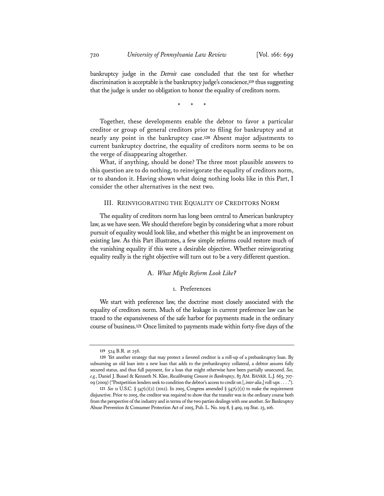bankruptcy judge in the *Detroit* case concluded that the test for whether discrimination is acceptable is the bankruptcy judge's conscience,**<sup>119</sup>** thus suggesting that the judge is under no obligation to honor the equality of creditors norm.

\* \* \*

Together, these developments enable the debtor to favor a particular creditor or group of general creditors prior to filing for bankruptcy and at nearly any point in the bankruptcy case.**<sup>120</sup>** Absent major adjustments to current bankruptcy doctrine, the equality of creditors norm seems to be on the verge of disappearing altogether.

What, if anything, should be done? The three most plausible answers to this question are to do nothing, to reinvigorate the equality of creditors norm, or to abandon it. Having shown what doing nothing looks like in this Part, I consider the other alternatives in the next two.

#### III. REINVIGORATING THE EQUALITY OF CREDITORS NORM

The equality of creditors norm has long been central to American bankruptcy law, as we have seen. We should therefore begin by considering what a more robust pursuit of equality would look like, and whether this might be an improvement on existing law. As this Part illustrates, a few simple reforms could restore much of the vanishing equality if this were a desirable objective. Whether reinvigorating equality really is the right objective will turn out to be a very different question.

#### A. *What Might Reform Look Like?*

#### 1. Preferences

We start with preference law, the doctrine most closely associated with the equality of creditors norm. Much of the leakage in current preference law can be traced to the expansiveness of the safe harbor for payments made in the ordinary course of business.**<sup>121</sup>** Once limited to payments made within forty-five days of the

**<sup>119</sup>** 524 B.R. at 256.

**<sup>120</sup>** Yet another strategy that may protect a favored creditor is a roll-up of a prebankruptcy loan. By subsuming an old loan into a new loan that adds to the prebankruptcy collateral, a debtor assures fully secured status, and thus full payment, for a loan that might otherwise have been partially unsecured. *See, e.g.*, Daniel J. Bussel & Kenneth N. Klee, *Recalibrating Consent in Bankruptcy*, 83 AM. BANKR. L.J. 663, 707- 09 (2009) ("Postpetition lenders seek to condition the debtor's access to credit on [, *inter alia*,] roll-ups . . . .").

**<sup>121</sup>** *See* 11 U.S.C. § 547(c)(2) (2012). In 2005, Congress amended § 547(c)(2) to make the requirement disjunctive. Prior to 2005, the creditor was required to show that the transfer was in the ordinary course both from the perspective of the industry and in terms of the two parties dealings with one another. *See* Bankruptcy Abuse Prevention & Consumer Protection Act of 2005, Pub. L. No. 109-8, § 409, 119 Stat. 23, 106.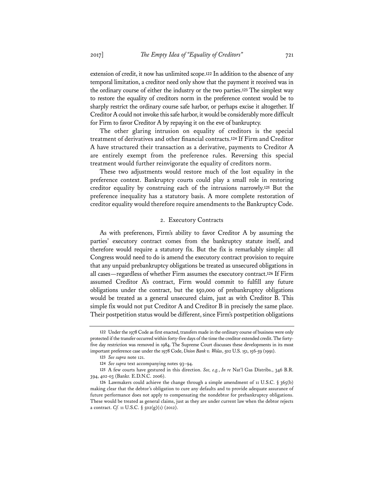extension of credit, it now has unlimited scope.**<sup>122</sup>** In addition to the absence of any temporal limitation, a creditor need only show that the payment it received was in the ordinary course of either the industry or the two parties.**<sup>123</sup>** The simplest way to restore the equality of creditors norm in the preference context would be to sharply restrict the ordinary course safe harbor, or perhaps excise it altogether. If Creditor A could not invoke this safe harbor, it would be considerably more difficult for Firm to favor Creditor A by repaying it on the eve of bankruptcy.

The other glaring intrusion on equality of creditors is the special treatment of derivatives and other financial contracts.**<sup>124</sup>** If Firm and Creditor A have structured their transaction as a derivative, payments to Creditor A are entirely exempt from the preference rules. Reversing this special treatment would further reinvigorate the equality of creditors norm.

These two adjustments would restore much of the lost equality in the preference context. Bankruptcy courts could play a small role in restoring creditor equality by construing each of the intrusions narrowly.**<sup>125</sup>** But the preference inequality has a statutory basis. A more complete restoration of creditor equality would therefore require amendments to the Bankruptcy Code.

#### 2. Executory Contracts

As with preferences, Firm's ability to favor Creditor A by assuming the parties' executory contract comes from the bankruptcy statute itself, and therefore would require a statutory fix. But the fix is remarkably simple: all Congress would need to do is amend the executory contract provision to require that any unpaid prebankruptcy obligations be treated as unsecured obligations in all cases—regardless of whether Firm assumes the executory contract.**<sup>126</sup>** If Firm assumed Creditor A's contract, Firm would commit to fulfill any future obligations under the contract, but the \$50,000 of prebankruptcy obligations would be treated as a general unsecured claim, just as with Creditor B. This simple fix would not put Creditor A and Creditor B in precisely the same place. Their postpetition status would be different, since Firm's postpetition obligations

**<sup>122</sup>** Under the 1978 Code as first enacted, transfers made in the ordinary course of business were only protected if the transfer occurred within forty-five days of the time the creditor extended credit. The fortyfive day restriction was removed in 1984. The Supreme Court discusses these developments in its most important preference case under the 1978 Code, *Union Bank v. Wolas*, 502 U.S. 151, 156-59 (1991).

**<sup>123</sup>** *See supra* note 121.

**<sup>124</sup>** *See supra* text accompanying notes 93–94.

**<sup>125</sup>** A few courts have gestured in this direction. *See, e.g.*, *In re* Nat'l Gas Distribs., 346 B.R. 394, 402-03 (Bankr. E.D.N.C. 2006).

**<sup>126</sup>** Lawmakers could achieve the change through a simple amendment of 11 U.S.C. § 365(b) making clear that the debtor's obligation to cure any defaults and to provide adequate assurance of future performance does not apply to compensating the nondebtor for prebankruptcy obligations. These would be treated as general claims, just as they are under current law when the debtor rejects a contract. *Cf.* 11 U.S.C.  $\S$  502(g)(1) (2012).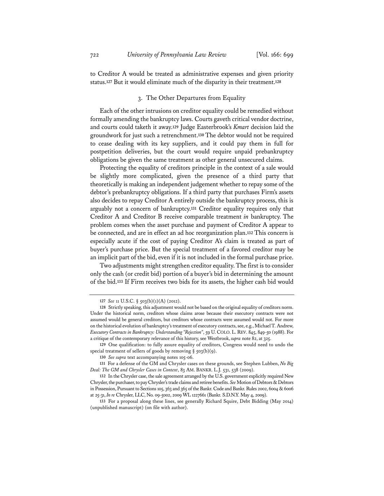to Creditor A would be treated as administrative expenses and given priority status.**<sup>127</sup>** But it would eliminate much of the disparity in their treatment.**<sup>128</sup>**

#### 3. The Other Departures from Equality

Each of the other intrusions on creditor equality could be remedied without formally amending the bankruptcy laws. Courts gaveth critical vendor doctrine, and courts could taketh it away.**<sup>129</sup>** Judge Easterbrook's *Kmart* decision laid the groundwork for just such a retrenchment.**<sup>130</sup>** The debtor would not be required to cease dealing with its key suppliers, and it could pay them in full for postpetition deliveries, but the court would require unpaid prebankruptcy obligations be given the same treatment as other general unsecured claims.

Protecting the equality of creditors principle in the context of a sale would be slightly more complicated, given the presence of a third party that theoretically is making an independent judgement whether to repay some of the debtor's prebankruptcy obligations. If a third party that purchases Firm's assets also decides to repay Creditor A entirely outside the bankruptcy process, this is arguably not a concern of bankruptcy.**<sup>131</sup>** Creditor equality requires only that Creditor A and Creditor B receive comparable treatment *in* bankruptcy. The problem comes when the asset purchase and payment of Creditor A appear to be connected, and are in effect an ad hoc reorganization plan.**<sup>132</sup>** This concern is especially acute if the cost of paying Creditor A's claim is treated as part of buyer's purchase price. But the special treatment of a favored creditor may be an implicit part of the bid, even if it is not included in the formal purchase price.

Two adjustments might strengthen creditor equality. The first is to consider only the cash (or credit bid) portion of a buyer's bid in determining the amount of the bid.**<sup>133</sup>** If Firm receives two bids for its assets, the higher cash bid would

**<sup>127</sup>** *See* 11 U.S.C. § 503(b)(1)(A) (2012).

**<sup>128</sup>** Strictly speaking, this adjustment would not be based on the original equality of creditors norm. Under the historical norm, creditors whose claims arose because their executory contracts were not assumed would be general creditors, but creditors whose contracts were assumed would not. For more on the historical evolution of bankruptcy's treatment of executory contracts, see, e.g., Michael T. Andrew, *Executory Contracts in Bankruptcy: Understanding "Rejection"*, 59 U.COLO. L. REV. 845, 849-50 (1988). For a critique of the contemporary relevance of this history, see Westbrook, *supra* note 82, at 325.

**<sup>129</sup>** One qualification: to fully assure equality of creditors, Congress would need to undo the special treatment of sellers of goods by removing § 503(b)(9).

**<sup>130</sup>** *See supra* text accompanying notes 105-06.

**<sup>131</sup>** For a defense of the GM and Chrysler cases on these grounds, see Stephen Lubben, *No Big Deal: The GM and Chrysler Cases in Context*, 83 AM. BANKR. L.J. 531, 538 (2009).

**<sup>132</sup>** In the Chrysler case, the sale agreement arranged by the U.S. government explicitly required New Chrysler, the purchaser, to pay Chrysler's trade claims and retiree benefits. *See* Motion of Debtors & Debtors in Possession, Pursuant to Sections 105, 363 and 365 of the Bankr. Code and Bankr. Rules 2002, 6004 & 6006 at 25-31, *In re* Chrysler, LLC, No. 09-5002, 2009 WL 1227661 (Bankr. S.D.N.Y. May 4, 2009).

**<sup>133</sup>** For a proposal along these lines, see generally Richard Squire, Debt Bidding (May 2014) (unpublished manuscript) (on file with author).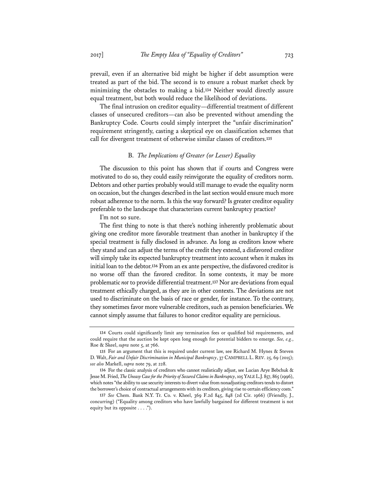prevail, even if an alternative bid might be higher if debt assumption were treated as part of the bid. The second is to ensure a robust market check by minimizing the obstacles to making a bid.**<sup>134</sup>** Neither would directly assure equal treatment, but both would reduce the likelihood of deviations.

The final intrusion on creditor equality—differential treatment of different classes of unsecured creditors—can also be prevented without amending the Bankruptcy Code. Courts could simply interpret the "unfair discrimination" requirement stringently, casting a skeptical eye on classification schemes that call for divergent treatment of otherwise similar classes of creditors.**<sup>135</sup>**

#### B. *The Implications of Greater (or Lesser) Equality*

The discussion to this point has shown that if courts and Congress were motivated to do so, they could easily reinvigorate the equality of creditors norm. Debtors and other parties probably would still manage to evade the equality norm on occasion, but the changes described in the last section would ensure much more robust adherence to the norm. Is this the way forward? Is greater creditor equality preferable to the landscape that characterizes current bankruptcy practice?

I'm not so sure.

The first thing to note is that there's nothing inherently problematic about giving one creditor more favorable treatment than another in bankruptcy if the special treatment is fully disclosed in advance. As long as creditors know where they stand and can adjust the terms of the credit they extend, a disfavored creditor will simply take its expected bankruptcy treatment into account when it makes its initial loan to the debtor.**<sup>136</sup>** From an ex ante perspective, the disfavored creditor is no worse off than the favored creditor. In some contexts, it may be more problematic *not* to provide differential treatment.**<sup>137</sup>** Nor are deviations from equal treatment ethically charged, as they are in other contexts. The deviations are not used to discriminate on the basis of race or gender, for instance. To the contrary, they sometimes favor more vulnerable creditors, such as pension beneficiaries. We cannot simply assume that failures to honor creditor equality are pernicious.

**<sup>134</sup>** Courts could significantly limit any termination fees or qualified bid requirements, and could require that the auction be kept open long enough for potential bidders to emerge. *See, e.g.*, Roe & Skeel, *supra* note 5, at 766.

**<sup>135</sup>** For an argument that this is required under current law, see Richard M. Hynes & Steven D. Walt, *Fair and Unfair Discrimination in Municipal Bankruptcy*, 37 CAMPBELL L. REV. 25, 69 (2015); *see also* Markell, *supra* note 79, at 228.

**<sup>136</sup>** For the classic analysis of creditors who cannot realistically adjust, see Lucian Arye Bebchuk & Jesse M. Fried, *The Uneasy Case for the Priority of Secured Claims in Bankruptcy*, 105 YALE L.J. 857, 865 (1996), which notes "the ability to use security interests to divert value from nonadjusting creditors tends to distort the borrower's choice of contractual arrangements with its creditors, giving rise to certain efficiency costs."

**<sup>137</sup>** *See* Chem. Bank N.Y. Tr. Co. v. Kheel, 369 F.2d 845, 848 (2d Cir. 1966) (Friendly, J., concurring) ("Equality among creditors who have lawfully bargained for different treatment is not equity but its opposite . . . .").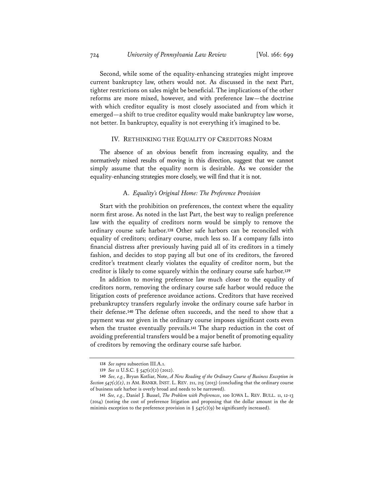Second, while some of the equality-enhancing strategies might improve current bankruptcy law, others would not. As discussed in the next Part, tighter restrictions on sales might be beneficial. The implications of the other reforms are more mixed, however, and with preference law—the doctrine with which creditor equality is most closely associated and from which it emerged—a shift to true creditor equality would make bankruptcy law worse, not better. In bankruptcy, equality is not everything it's imagined to be.

#### IV. RETHINKING THE EQUALITY OF CREDITORS NORM

The absence of an obvious benefit from increasing equality, and the normatively mixed results of moving in this direction, suggest that we cannot simply assume that the equality norm is desirable. As we consider the equality-enhancing strategies more closely, we will find that it is not.

#### A. *Equality's Original Home: The Preference Provision*

Start with the prohibition on preferences, the context where the equality norm first arose. As noted in the last Part, the best way to realign preference law with the equality of creditors norm would be simply to remove the ordinary course safe harbor.**<sup>138</sup>** Other safe harbors can be reconciled with equality of creditors; ordinary course, much less so. If a company falls into financial distress after previously having paid all of its creditors in a timely fashion, and decides to stop paying all but one of its creditors, the favored creditor's treatment clearly violates the equality of creditor norm, but the creditor is likely to come squarely within the ordinary course safe harbor.**<sup>139</sup>**

In addition to moving preference law much closer to the equality of creditors norm, removing the ordinary course safe harbor would reduce the litigation costs of preference avoidance actions. Creditors that have received prebankruptcy transfers regularly invoke the ordinary course safe harbor in their defense.**<sup>140</sup>** The defense often succeeds, and the need to show that a payment was *not* given in the ordinary course imposes significant costs even when the trustee eventually prevails.**<sup>141</sup>** The sharp reduction in the cost of avoiding preferential transfers would be a major benefit of promoting equality of creditors by removing the ordinary course safe harbor.

**<sup>138</sup>** *See supra* subsection III.A.1.

**<sup>139</sup>** *See* 11 U.S.C. § 547(c)(2) (2012).

**<sup>140</sup>** *See, e.g.*, Bryan Kotliar, Note, *A New Reading of the Ordinary Course of Business Exception in Section 547(c)(2)*, 21 AM. BANKR. INST. L. REV. 211, 215 (2013) (concluding that the ordinary course of business safe harbor is overly broad and needs to be narrowed).

**<sup>141</sup>** *See, e.g.*, Daniel J. Bussel, *The Problem with Preferences*, 100 IOWA L. REV. BULL. 11, 12-13 (2014) (noting the cost of preference litigation and proposing that the dollar amount in the de minimis exception to the preference provision in  $\S$  547(c)(9) be significantly increased).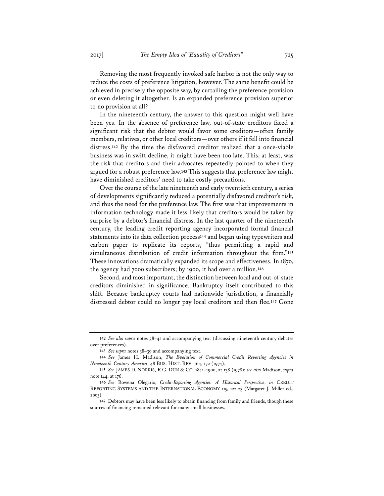Removing the most frequently invoked safe harbor is not the only way to reduce the costs of preference litigation, however. The same benefit could be achieved in precisely the opposite way, by curtailing the preference provision or even deleting it altogether. Is an expanded preference provision superior to no provision at all?

In the nineteenth century, the answer to this question might well have been yes. In the absence of preference law, out-of-state creditors faced a significant risk that the debtor would favor some creditors—often family members, relatives, or other local creditors—over others if it fell into financial distress.**<sup>142</sup>** By the time the disfavored creditor realized that a once-viable business was in swift decline, it might have been too late. This, at least, was the risk that creditors and their advocates repeatedly pointed to when they argued for a robust preference law.**<sup>143</sup>** This suggests that preference law might have diminished creditors' need to take costly precautions.

Over the course of the late nineteenth and early twentieth century, a series of developments significantly reduced a potentially disfavored creditor's risk, and thus the need for the preference law. The first was that improvements in information technology made it less likely that creditors would be taken by surprise by a debtor's financial distress. In the last quarter of the nineteenth century, the leading credit reporting agency incorporated formal financial statements into its data collection process**<sup>144</sup>** and began using typewriters and carbon paper to replicate its reports, "thus permitting a rapid and simultaneous distribution of credit information throughout the firm."**<sup>145</sup>** These innovations dramatically expanded its scope and effectiveness. In 1870, the agency had 7000 subscribers; by 1900, it had over a million.**<sup>146</sup>**

Second, and most important, the distinction between local and out-of-state creditors diminished in significance. Bankruptcy itself contributed to this shift. Because bankruptcy courts had nationwide jurisdiction, a financially distressed debtor could no longer pay local creditors and then flee.**<sup>147</sup>** Gone

**<sup>142</sup>** *See also supra* notes 38–42 and accompanying text (discussing nineteenth century debates over preferences).

**<sup>143</sup>** *See supra* notes 38–39 and accompanying text.

**<sup>144</sup>** *See* James H. Madison, *The Evolution of Commercial Credit Reporting Agencies in Nineteenth-Century America*, 48 BUS. HIST. REV. 164, 172 (1974).

**<sup>145</sup>** *See* JAMES D. NORRIS, R.G. DUN & CO. 1841–1900, at 138 (1978); *see also* Madison, *supra* note 144, at 176.

**<sup>146</sup>** *See* Rowena Olegario, *Credit-Reporting Agencies: A Historical Perspective*, *in* CREDIT REPORTING SYSTEMS AND THE INTERNATIONAL ECONOMY 115, 122-23 (Margaret J. Miller ed., 2003).

**<sup>147</sup>** Debtors may have been less likely to obtain financing from family and friends, though these sources of financing remained relevant for many small businesses.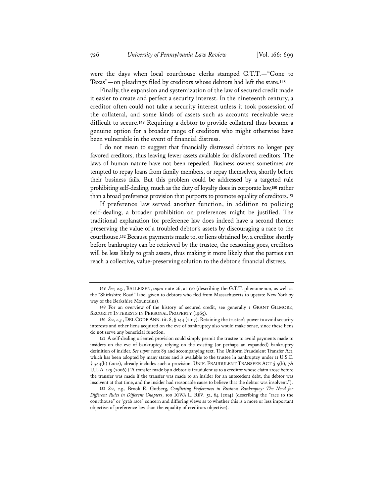were the days when local courthouse clerks stamped G.T.T.—"Gone to Texas"—on pleadings filed by creditors whose debtors had left the state.**<sup>148</sup>**

Finally, the expansion and systemization of the law of secured credit made it easier to create and perfect a security interest. In the nineteenth century, a creditor often could not take a security interest unless it took possession of the collateral, and some kinds of assets such as accounts receivable were difficult to secure.**<sup>149</sup>** Requiring a debtor to provide collateral thus became a genuine option for a broader range of creditors who might otherwise have been vulnerable in the event of financial distress.

I do not mean to suggest that financially distressed debtors no longer pay favored creditors, thus leaving fewer assets available for disfavored creditors. The laws of human nature have not been repealed. Business owners sometimes are tempted to repay loans from family members, or repay themselves, shortly before their business fails. But this problem could be addressed by a targeted rule prohibiting self-dealing, much as the duty of loyalty does in corporate law,**<sup>150</sup>** rather than a broad preference provision that purports to promote equality of creditors.**<sup>151</sup>**

If preference law served another function, in addition to policing self-dealing, a broader prohibition on preferences might be justified. The traditional explanation for preference law does indeed have a second theme: preserving the value of a troubled debtor's assets by discouraging a race to the courthouse.**<sup>152</sup>** Because payments made to, or liens obtained by, a creditor shortly before bankruptcy can be retrieved by the trustee, the reasoning goes, creditors will be less likely to grab assets, thus making it more likely that the parties can reach a collective, value-preserving solution to the debtor's financial distress.

**<sup>148</sup>** *See, e.g.*, BALLEISEN, *supra* note 26, at 170 (describing the G.T.T. phenomenon, as well as the "Shirkshire Road" label given to debtors who fled from Massachusetts to upstate New York by way of the Berkshire Mountains).

**<sup>149</sup>** For an overview of the history of secured credit, see generally 1 GRANT GILMORE, SECURITY INTERESTS IN PERSONAL PROPERTY (1965).

**<sup>150</sup>** *See, e.g.*, DEL CODE ANN. tit. 8, § 144 (2017). Retaining the trustee's power to avoid security interests and other liens acquired on the eve of bankruptcy also would make sense, since these liens do not serve any beneficial function.

**<sup>151</sup>** A self-dealing oriented provision could simply permit the trustee to avoid payments made to insiders on the eve of bankruptcy, relying on the existing (or perhaps an expanded) bankruptcy definition of insider. *See supra* note 89 and accompanying text. The Uniform Fraudulent Transfer Act, which has been adopted by many states and is available to the trustee in bankruptcy under 11 U.S.C.  $\S$  544(b) (2012), already includes such a provision. UNIF. FRAUDULENT TRANSFER ACT  $\S$  5(b), 7A U.L.A. 129 (2006) ("A transfer made by a debtor is fraudulent as to a creditor whose claim arose before the transfer was made if the transfer was made to an insider for an antecedent debt, the debtor was insolvent at that time, and the insider had reasonable cause to believe that the debtor was insolvent.").

**<sup>152</sup>** *See, e.g.*, Brook E. Gotberg, *Conflicting Preferences in Business Bankruptcy: The Need for Different Rules in Different Chapters*, 100 IOWA L. REV. 51, 64 (2014) (describing the "race to the courthouse" or "grab race" concern and differing views as to whether this is a more or less important objective of preference law than the equality of creditors objective).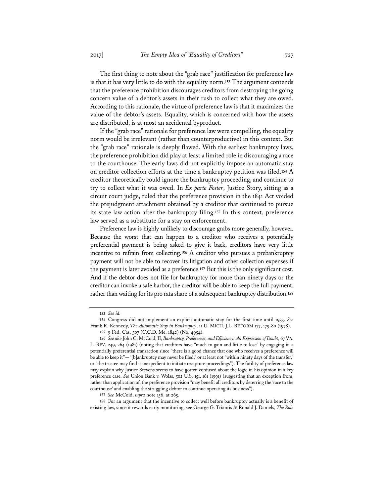The first thing to note about the "grab race" justification for preference law is that it has very little to do with the equality norm.**<sup>153</sup>** The argument contends that the preference prohibition discourages creditors from destroying the going concern value of a debtor's assets in their rush to collect what they are owed. According to this rationale, the virtue of preference law is that it maximizes the value of the debtor's assets. Equality, which is concerned with how the assets are distributed, is at most an accidental byproduct.

If the "grab race" rationale for preference law were compelling, the equality norm would be irrelevant (rather than counterproductive) in this context. But the "grab race" rationale is deeply flawed. With the earliest bankruptcy laws, the preference prohibition did play at least a limited role in discouraging a race to the courthouse. The early laws did not explicitly impose an automatic stay on creditor collection efforts at the time a bankruptcy petition was filed.**<sup>154</sup>** A creditor theoretically could ignore the bankruptcy proceeding, and continue to try to collect what it was owed. In *Ex parte Foster*, Justice Story, sitting as a circuit court judge, ruled that the preference provision in the 1841 Act voided the prejudgment attachment obtained by a creditor that continued to pursue its state law action after the bankruptcy filing.**<sup>155</sup>** In this context, preference law served as a substitute for a stay on enforcement.

Preference law is highly unlikely to discourage grabs more generally, however. Because the worst that can happen to a creditor who receives a potentially preferential payment is being asked to give it back, creditors have very little incentive to refrain from collecting.**<sup>156</sup>** A creditor who pursues a prebankruptcy payment will not be able to recover its litigation and other collection expenses if the payment is later avoided as a preference.**<sup>157</sup>** But this is the only significant cost. And if the debtor does not file for bankruptcy for more than ninety days or the creditor can invoke a safe harbor, the creditor will be able to keep the full payment, rather than waiting for its pro rata share of a subsequent bankruptcy distribution.**<sup>158</sup>**

**158** For an argument that the incentive to collect well before bankruptcy actually is a benefit of existing law, since it rewards early monitoring, see George G. Triantis & Ronald J. Daniels, *The Role* 

**<sup>153</sup>** *See id.*

**<sup>154</sup>** Congress did not implement an explicit automatic stay for the first time until 1933. *See* Frank R. Kennedy, *The Automatic Stay in Bankruptcy*, 11 U. MICH. J.L. REFORM 177, 179-80 (1978).

**<sup>155</sup>** 9 Fed. Cas. 507 (C.C.D. Me. 1842) (No. 4954).

**<sup>156</sup>** *See also* John C. McCoid, II, *Bankruptcy, Preferences, and Efficiency: An Expression of Doubt*, 67 VA. L. REV. 249, 264 (1981) (noting that creditors have "much to gain and little to lose" by engaging in a potentially preferential transaction since "there is a good chance that one who receives a preference will be able to keep it"—"[b]ankruptcy may never be filed," or at least not "within ninety days of the transfer," or "the trustee may find it inexpedient to initiate recapture proceedings"). The futility of preference law may explain why Justice Stevens seems to have gotten confused about the logic in his opinion in a key preference case. *See* Union Bank v. Wolas, 502 U.S. 151, 161 (1991) (suggesting that an exception from, rather than application of, the preference provision "may benefit all creditors by deterring the 'race to the courthouse' and enabling the struggling debtor to continue operating its business").

**<sup>157</sup>** *See* McCoid, *supra* note 156, at 265.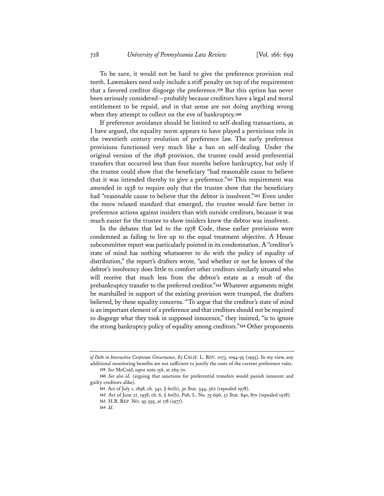To be sure, it would not be hard to give the preference provision real teeth. Lawmakers need only include a stiff penalty on top of the requirement that a favored creditor disgorge the preference.**<sup>159</sup>** But this option has never been seriously considered—probably because creditors have a legal and moral entitlement to be repaid, and in that sense are not doing anything wrong when they attempt to collect on the eve of bankruptcy.**<sup>160</sup>**

If preference avoidance should be limited to self-dealing transactions, as I have argued, the equality norm appears to have played a pernicious role in the twentieth century evolution of preference law. The early preference provisions functioned very much like a ban on self-dealing. Under the original version of the 1898 provision, the trustee could avoid preferential transfers that occurred less than four months before bankruptcy, but only if the trustee could show that the beneficiary "had reasonable cause to believe that it was intended thereby to give a preference."**<sup>161</sup>** This requirement was amended in 1938 to require only that the trustee show that the beneficiary had "reasonable cause to believe that the debtor is insolvent."**<sup>162</sup>** Even under the more relaxed standard that emerged, the trustee would fare better in preference actions against insiders than with outside creditors, because it was much easier for the trustee to show insiders knew the debtor was insolvent.

In the debates that led to the 1978 Code, these earlier provisions were condemned as failing to live up to the equal treatment objective. A House subcommittee report was particularly pointed in its condemnation. A "creditor's state of mind has nothing whatsoever to do with the policy of equality of distribution," the report's drafters wrote, "and whether or not he knows of the debtor's insolvency does little to comfort other creditors similarly situated who will receive that much less from the debtor's estate as a result of the prebankruptcy transfer to the preferred creditor."**<sup>163</sup>** Whatever arguments might be marshalled in support of the existing provision were trumped, the drafters believed, by these equality concerns. "To argue that the creditor's state of mind is an important element of a preference and that creditors should not be required to disgorge what they took in supposed innocence," they insisted, "is to ignore the strong bankruptcy policy of equality among creditors."**<sup>164</sup>** Other proponents

*of Debt in Interactive Corporate Governance*, 82 CALIF. L. REV. 1073, 1094-95 (1995). In my view, any additional monitoring benefits are not sufficient to justify the costs of the current preference rules.

**<sup>159</sup>** *See* McCoid, *supra* note 156, at 269-70.

**<sup>160</sup>** *See also id.* (arguing that sanctions for preferential transfers would punish innocent and guilty creditors alike).

**<sup>161</sup>** Act of July 1, 1898, ch. 541, § 60(b), 30 Stat. 544, 562 (repealed 1978).

**<sup>162</sup>** Act of June 27, 1938, ch. 6, § 60(b), Pub. L. No. 75-696, 52 Stat. 840, 870 (repealed 1978).

**<sup>163</sup>** H.R. REP. NO. 95-595, at 178 (1977).

**<sup>164</sup>** *Id.*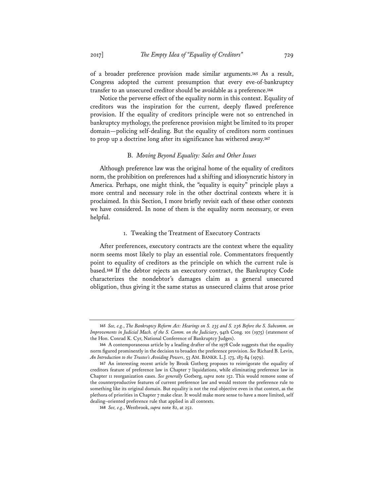of a broader preference provision made similar arguments.**<sup>165</sup>** As a result, Congress adopted the current presumption that every eve-of-bankruptcy transfer to an unsecured creditor should be avoidable as a preference.**<sup>166</sup>**

Notice the perverse effect of the equality norm in this context. Equality of creditors was the inspiration for the current, deeply flawed preference provision. If the equality of creditors principle were not so entrenched in bankruptcy mythology, the preference provision might be limited to its proper domain—policing self-dealing. But the equality of creditors norm continues to prop up a doctrine long after its significance has withered away.**<sup>167</sup>**

#### B. *Moving Beyond Equality: Sales and Other Issues*

Although preference law was the original home of the equality of creditors norm, the prohibition on preferences had a shifting and idiosyncratic history in America. Perhaps, one might think, the "equality is equity" principle plays a more central and necessary role in the other doctrinal contexts where it is proclaimed. In this Section, I more briefly revisit each of these other contexts we have considered. In none of them is the equality norm necessary, or even helpful.

# 1. Tweaking the Treatment of Executory Contracts

After preferences, executory contracts are the context where the equality norm seems most likely to play an essential role. Commentators frequently point to equality of creditors as the principle on which the current rule is based.**<sup>168</sup>** If the debtor rejects an executory contract, the Bankruptcy Code characterizes the nondebtor's damages claim as a general unsecured obligation, thus giving it the same status as unsecured claims that arose prior

**<sup>165</sup>** *See, e.g.*, *The Bankruptcy Reform Act: Hearings on S. 235 and S. 236 Before the S. Subcomm. on Improvements in Judicial Mach. of the S. Comm. on the Judiciary*, 94th Cong. 101 (1975) (statement of the Hon. Conrad K. Cyr, National Conference of Bankruptcy Judges).

**<sup>166</sup>** A contemporaneous article by a leading drafter of the 1978 Code suggests that the equality norm figured prominently in the decision to broaden the preference provision. *See* Richard B. Levin, *An Introduction to the Trustee's Avoiding Powers*, 53 AM. BANKR. L.J. 173, 183-84 (1979).

**<sup>167</sup>** An interesting recent article by Brook Gotberg proposes to reinvigorate the equality of creditors feature of preference law in Chapter 7 liquidations, while eliminating preference law in Chapter 11 reorganization cases. *See generally* Gotberg, *supra* note 152. This would remove some of the counterproductive features of current preference law and would restore the preference rule to something like its original domain. But equality is not the real objective even in that context, as the plethora of priorities in Chapter 7 make clear. It would make more sense to have a more limited, self dealing–oriented preference rule that applied in all contexts.

**<sup>168</sup>** *See, e.g.*, Westbrook, *supra* note 82, at 252.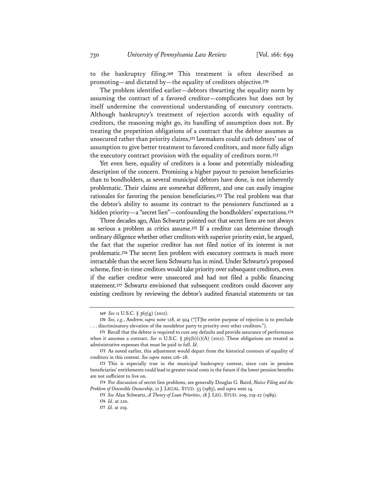to the bankruptcy filing.**<sup>169</sup>** This treatment is often described as promoting—and dictated by—the equality of creditors objective.**<sup>170</sup>**

The problem identified earlier—debtors thwarting the equality norm by assuming the contract of a favored creditor—complicates but does not by itself undermine the conventional understanding of executory contracts. Although bankruptcy's treatment of rejection accords with equality of creditors, the reasoning might go, its handling of assumption does not. By treating the prepetition obligations of a contract that the debtor assumes as unsecured rather than priority claims,**<sup>171</sup>** lawmakers could curb debtors' use of assumption to give better treatment to favored creditors, and more fully align the executory contract provision with the equality of creditors norm.**<sup>172</sup>**

Yet even here, equality of creditors is a loose and potentially misleading description of the concern. Promising a higher payout to pension beneficiaries than to bondholders, as several municipal debtors have done, is not inherently problematic. Their claims are somewhat different, and one can easily imagine rationales for favoring the pension beneficiaries.**<sup>173</sup>** The real problem was that the debtor's ability to assume its contract to the pensioners functioned as a hidden priority—a "secret lien"—confounding the bondholders' expectations.**<sup>174</sup>**

Three decades ago, Alan Schwartz pointed out that secret liens are not always as serious a problem as critics assume.**<sup>175</sup>** If a creditor can determine through ordinary diligence whether other creditors with superior priority exist, he argued, the fact that the superior creditor has not filed notice of its interest is not problematic.**<sup>176</sup>** The secret lien problem with executory contracts is much more intractable than the secret liens Schwartz has in mind. Under Schwartz's proposed scheme, first-in-time creditors would take priority over subsequent creditors, even if the earlier creditor were unsecured and had not filed a public financing statement.**<sup>177</sup>** Schwartz envisioned that subsequent creditors could discover any existing creditors by reviewing the debtor's audited financial statements or tax

**<sup>169</sup>** *See* 11 U.S.C. § 365(g) (2012).

**<sup>170</sup>** *See, e.g.*, Andrew, *supra* note 128, at 924 ("[T]he entire purpose of rejection is to preclude . . . discriminatory elevation of the nondebtor party to priority over other creditors.").

**<sup>171</sup>** Recall that the debtor is required to cure any defaults and provide assurance of performance when it assumes a contract. *See* 11 U.S.C. § 365(b)(1)(A) (2012). These obligations are treated as administrative expenses that must be paid in full. *Id.*

**<sup>172</sup>** As noted earlier, this adjustment would depart from the historical contours of equality of creditors in this context. *See supra* notes 126–28.

**<sup>173</sup>** This is especially true in the municipal bankruptcy context, since cuts in pension beneficiaries' entitlements could lead to greater social costs in the future if the lower pension benefits are not sufficient to live on.

**<sup>174</sup>** For discussion of secret lien problems, see generally Douglas G. Baird, *Notice Filing and the Problem of Ostensible Ownership*, 12 J. LEGAL. STUD. 53 (1983), and *supra* note 14.

**<sup>175</sup>** *See* Alan Schwartz, *A Theory of Loan Priorities*, 18 J. LEG. STUD. 209, 219-22 (1989).

**<sup>176</sup>** *Id.* at 220.

**<sup>177</sup>** *Id.* at 219.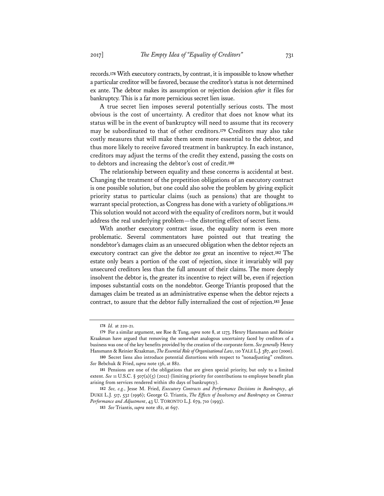records.**<sup>178</sup>** With executory contracts, by contrast, it is impossible to know whether a particular creditor will be favored, because the creditor's status is not determined ex ante. The debtor makes its assumption or rejection decision *after* it files for bankruptcy. This is a far more pernicious secret lien issue.

A true secret lien imposes several potentially serious costs. The most obvious is the cost of uncertainty. A creditor that does not know what its status will be in the event of bankruptcy will need to assume that its recovery may be subordinated to that of other creditors.**<sup>179</sup>** Creditors may also take costly measures that will make them seem more essential to the debtor, and thus more likely to receive favored treatment in bankruptcy. In each instance, creditors may adjust the terms of the credit they extend, passing the costs on to debtors and increasing the debtor's cost of credit.**<sup>180</sup>**

The relationship between equality and these concerns is accidental at best. Changing the treatment of the prepetition obligations of an executory contract is one possible solution, but one could also solve the problem by giving explicit priority status to particular claims (such as pensions) that are thought to warrant special protection, as Congress has done with a variety of obligations.**<sup>181</sup>** This solution would not accord with the equality of creditors norm, but it would address the real underlying problem—the distorting effect of secret liens.

With another executory contract issue, the equality norm is even more problematic. Several commentators have pointed out that treating the nondebtor's damages claim as an unsecured obligation when the debtor rejects an executory contract can give the debtor *too* great an incentive to reject.**<sup>182</sup>** The estate only bears a portion of the cost of rejection, since it invariably will pay unsecured creditors less than the full amount of their claims. The more deeply insolvent the debtor is, the greater its incentive to reject will be, even if rejection imposes substantial costs on the nondebtor. George Triantis proposed that the damages claim be treated as an administrative expense when the debtor rejects a contract, to assure that the debtor fully internalized the cost of rejection.**<sup>183</sup>** Jesse

**182** *See, e.g.*, Jesse M. Fried, *Executory Contracts and Performance Decisions in Bankruptcy*, 46 DUKE L.J. 517, 532 (1996); George G. Triantis, *The Effects of Insolvency and Bankruptcy on Contract Performance and Adjustment*, 43 U. TORONTO L.J. 679, 710 (1993).

**183** *See* Triantis, *supra* note 182, at 697.

**<sup>178</sup>** *Id.* at 220-21.

**<sup>179</sup>** For a similar argument, see Roe & Tung, *supra* note 8, at 1273. Henry Hansmann and Reinier Kraakman have argued that removing the somewhat analogous uncertainty faced by creditors of a business was one of the key benefits provided by the creation of the corporate form. *See generally* Henry Hansmann & Reinier Kraakman, *The Essential Role of Organizational Law*, 110 YALE L.J. 387, 402 (2000).

**<sup>180</sup>** Secret liens also introduce potential distortions with respect to "nonadjusting" creditors. *See* Bebchuk & Fried, *supra* note 136, at 882.

**<sup>181</sup>** Pensions are one of the obligations that are given special priority, but only to a limited extent. *See* 11 U.S.C. § 507(a)(5) (2012) (limiting priority for contributions to employee benefit plan arising from services rendered within 180 days of bankruptcy).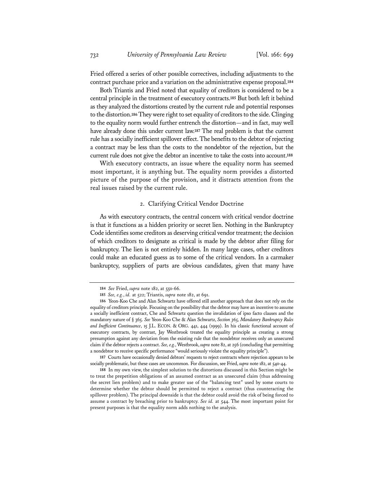Fried offered a series of other possible correctives, including adjustments to the contract purchase price and a variation on the administrative expense proposal.**<sup>184</sup>**

Both Triantis and Fried noted that equality of creditors is considered to be a central principle in the treatment of executory contracts.**<sup>185</sup>** But both left it behind as they analyzed the distortions created by the current rule and potential responses to the distortion.**<sup>186</sup>** They were right to set equality of creditors to the side. Clinging to the equality norm would further entrench the distortion—and in fact, may well have already done this under current law.**<sup>187</sup>** The real problem is that the current rule has a socially inefficient spillover effect. The benefits to the debtor of rejecting a contract may be less than the costs to the nondebtor of the rejection, but the current rule does not give the debtor an incentive to take the costs into account.**<sup>188</sup>**

With executory contracts, an issue where the equality norm has seemed most important, it is anything but. The equality norm provides a distorted picture of the purpose of the provision, and it distracts attention from the real issues raised by the current rule.

#### 2. Clarifying Critical Vendor Doctrine

As with executory contracts, the central concern with critical vendor doctrine is that it functions as a hidden priority or secret lien. Nothing in the Bankruptcy Code identifies some creditors as deserving critical vendor treatment; the decision of which creditors to designate as critical is made by the debtor after filing for bankruptcy. The lien is not entirely hidden. In many large cases, other creditors could make an educated guess as to some of the critical vendors. In a carmaker bankruptcy, suppliers of parts are obvious candidates, given that many have

**187** Courts have occasionally denied debtors' requests to reject contracts where rejection appears to be socially problematic, but these cases are uncommon. For discussion, see Fried, *supra* note 182, at 540-44.

**188** In my own view, the simplest solution to the distortions discussed in this Section might be to treat the prepetition obligations of an assumed contract as an unsecured claim (thus addressing the secret lien problem) and to make greater use of the "balancing test" used by some courts to determine whether the debtor should be permitted to reject a contract (thus counteracting the spillover problem). The principal downside is that the debtor could avoid the risk of being forced to assume a contract by breaching prior to bankruptcy. *See id.* at 544. The most important point for present purposes is that the equality norm adds nothing to the analysis.

**<sup>184</sup>** *See* Fried, *supra* note 182, at 550-66.

**<sup>185</sup>** *See, e.g.*, *id.* at 522; Triantis, *supra* note 182, at 691.

**<sup>186</sup>** Yeon-Koo Che and Alan Schwartz have offered still another approach that does not rely on the equality of creditors principle. Focusing on the possibility that the debtor may have an incentive to assume a socially inefficient contract, Che and Schwartz question the invalidation of ipso facto clauses and the mandatory nature of § 365. *See* Yeon-Koo Che & Alan Schwartz, *Section 365, Mandatory Bankruptcy Rules and Inefficient Continuance*, 15 J.L. ECON. & ORG. 441, 444 (1999). In his classic functional account of executory contracts, by contrast, Jay Westbrook treated the equality principle as creating a strong presumption against any deviation from the existing rule that the nondebtor receives only an unsecured claim if the debtor rejects a contract. *See, e.g.*, Westbrook, *supra* note 82, at 256 (concluding that permitting a nondebtor to receive specific performance "would seriously violate the equality principle").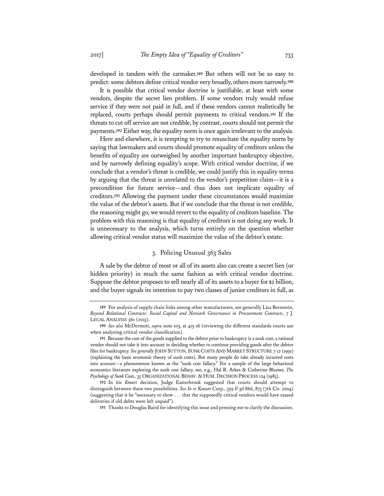developed in tandem with the carmaker.**<sup>189</sup>** But others will not be so easy to predict: some debtors define critical vendor very broadly, others more narrowly.**<sup>190</sup>**

It is possible that critical vendor doctrine is justifiable, at least with some vendors, despite the secret lien problem. If some vendors truly would refuse service if they were not paid in full, and if these vendors cannot realistically be replaced, courts perhaps should permit payments to critical vendors.**<sup>191</sup>** If the threats to cut off service are not credible, by contrast, courts should not permit the payments.**<sup>192</sup>** Either way, the equality norm is once again irrelevant to the analysis.

Here and elsewhere, it is tempting to try to resuscitate the equality norm by saying that lawmakers and courts should promote equality of creditors unless the benefits of equality are outweighed by another important bankruptcy objective, and by narrowly defining equality's scope. With critical vendor doctrine, if we conclude that a vendor's threat is credible, we could justify this in equality terms by arguing that the threat is unrelated to the vendor's prepetition claim—it is a precondition for future service—and thus does not implicate equality of creditors.**<sup>193</sup>** Allowing the payment under these circumstances would maximize the value of the debtor's assets. But if we conclude that the threat is not credible, the reasoning might go, we would revert to the equality of creditors baseline. The problem with this reasoning is that equality of creditors is not doing any work. It is unnecessary to the analysis, which turns entirely on the question whether allowing critical vendor status will maximize the value of the debtor's estate.

#### 3. Policing Unusual 363 Sales

A sale by the debtor of most or all of its assets also can create a secret lien (or hidden priority) in much the same fashion as with critical vendor doctrine. Suppose the debtor proposes to sell nearly all of its assets to a buyer for \$2 billion, and the buyer signals its intention to pay two classes of junior creditors in full, as

**<sup>189</sup>** For analysis of supply chain links among other manufacturers, see generally Lisa Bernstein, *Beyond Relational Contracts: Social Capital and Network Governance in Procurement Contracts*, 7 J. LEGAL ANALYSIS 561 (2015).

**<sup>190</sup>** *See also* McDermott, *supra* note 103, at 415-16 (reviewing the different standards courts use when analyzing critical vendor classification).

**<sup>191</sup>** Because the cost of the goods supplied to the debtor prior to bankruptcy is a sunk cost, a rational vendor should not take it into account in deciding whether to continue providing goods after the debtor files for bankruptcy. *See generally* JOHN SUTTON, SUNK COSTS AND MARKET STRUCTURE 7-12 (1991) (explaining the basic economic theory of sunk costs). But many people do take already incurred costs into account—a phenomenon known as the "sunk cost fallacy." For a sample of the large behavioral economics literature exploring the sunk cost fallacy, see, e.g., Hal R. Arkes & Catherine Blumer, *The Psychology of Sunk Costs*, 35 ORGANIZATIONAL BEHAV. & HUM. DECISION PROCESS 124 (1985).

**<sup>192</sup>** In his *Kmart* decision, Judge Easterbrook suggested that courts should attempt to distinguish between these two possibilities. *See In re* Kmart Corp., 359 F.3d 866, 873 (7th Cir. 2004) (suggesting that it be "necessary to show . . . that the supposedly critical vendors would have ceased deliveries if old debts were left unpaid").

**<sup>193</sup>** Thanks to Douglas Baird for identifying this issue and pressing me to clarify the discussion.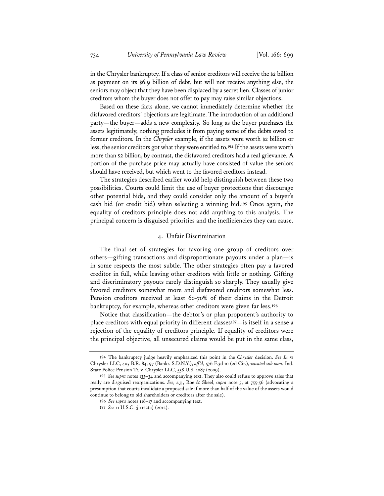in the Chrysler bankruptcy. If a class of senior creditors will receive the \$2 billion as payment on its \$6.9 billion of debt, but will not receive anything else, the seniors may object that they have been displaced by a secret lien. Classes of junior creditors whom the buyer does not offer to pay may raise similar objections.

Based on these facts alone, we cannot immediately determine whether the disfavored creditors' objections are legitimate. The introduction of an additional party—the buyer—adds a new complexity. So long as the buyer purchases the assets legitimately, nothing precludes it from paying some of the debts owed to former creditors. In the *Chrysler* example, if the assets were worth \$2 billion or less, the senior creditors got what they were entitled to.**<sup>194</sup>** If the assets were worth more than \$2 billion, by contrast, the disfavored creditors had a real grievance. A portion of the purchase price may actually have consisted of value the seniors should have received, but which went to the favored creditors instead.

The strategies described earlier would help distinguish between these two possibilities. Courts could limit the use of buyer protections that discourage other potential bids, and they could consider only the amount of a buyer's cash bid (or credit bid) when selecting a winning bid.**<sup>195</sup>** Once again, the equality of creditors principle does not add anything to this analysis. The principal concern is disguised priorities and the inefficiencies they can cause.

#### 4. Unfair Discrimination

The final set of strategies for favoring one group of creditors over others—gifting transactions and disproportionate payouts under a plan—is in some respects the most subtle. The other strategies often pay a favored creditor in full, while leaving other creditors with little or nothing. Gifting and discriminatory payouts rarely distinguish so sharply. They usually give favored creditors somewhat more and disfavored creditors somewhat less. Pension creditors received at least 60-70% of their claims in the Detroit bankruptcy, for example, whereas other creditors were given far less.**<sup>196</sup>**

Notice that classification—the debtor's or plan proponent's authority to place creditors with equal priority in different classes**<sup>197</sup>**—is itself in a sense a rejection of the equality of creditors principle. If equality of creditors were the principal objective, all unsecured claims would be put in the same class,

**<sup>194</sup>** The bankruptcy judge heavily emphasized this point in the *Chrysler* decision. *See In re* Chrysler LLC, 405 B.R. 84, 97 (Bankr. S.D.N.Y.), *aff 'd*, 576 F.3d 10 (2d Cir.), *vacated sub nom.* Ind. State Police Pension Tr. v. Chrysler LLC, 558 U.S. 1087 (2009).

**<sup>195</sup>** *See supra* notes 133–34 and accompanying text. They also could refuse to approve sales that really are disguised reorganizations. *See, e.g.*, Roe & Skeel, *supra* note 5, at 755-56 (advocating a presumption that courts invalidate a proposed sale if more than half of the value of the assets would continue to belong to old shareholders or creditors after the sale).

**<sup>196</sup>** *See supra* notes 116–17 and accompanying text.

**<sup>197</sup>** *See* 11 U.S.C. § 1122(a) (2012).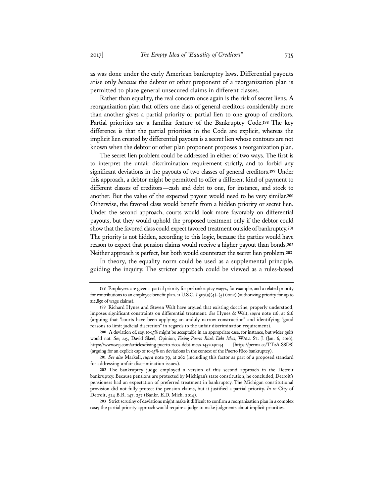as was done under the early American bankruptcy laws. Differential payouts arise only *because* the debtor or other proponent of a reorganization plan is permitted to place general unsecured claims in different classes.

Rather than equality, the real concern once again is the risk of secret liens. A reorganization plan that offers one class of general creditors considerably more than another gives a partial priority or partial lien to one group of creditors. Partial priorities are a familiar feature of the Bankruptcy Code.**<sup>198</sup>** The key difference is that the partial priorities in the Code are explicit, whereas the implicit lien created by differential payouts is a secret lien whose contours are not known when the debtor or other plan proponent proposes a reorganization plan.

The secret lien problem could be addressed in either of two ways. The first is to interpret the unfair discrimination requirement strictly, and to forbid any significant deviations in the payouts of two classes of general creditors.**<sup>199</sup>** Under this approach, a debtor might be permitted to offer a different kind of payment to different classes of creditors—cash and debt to one, for instance, and stock to another. But the value of the expected payout would need to be very similar.**<sup>200</sup>** Otherwise, the favored class would benefit from a hidden priority or secret lien. Under the second approach, courts would look more favorably on differential payouts, but they would uphold the proposed treatment only if the debtor could show that the favored class could expect favored treatment outside of bankruptcy.**<sup>201</sup>** The priority is not hidden, according to this logic, because the parties would have reason to expect that pension claims would receive a higher payout than bonds.**<sup>202</sup>** Neither approach is perfect, but both would counteract the secret lien problem.**<sup>203</sup>**

In theory, the equality norm could be used as a supplemental principle, guiding the inquiry. The stricter approach could be viewed as a rules-based

**201** *See also* Markell, *supra* note 79, at 262 (including this factor as part of a proposed standard for addressing unfair discrimination issues).

**<sup>198</sup>** Employees are given a partial priority for prebankruptcy wages, for example, and a related priority for contributions to an employee benefit plan. 11 U.S.C. § 507(a)(4)–(5) (2012) (authorizing priority for up to \$12,850 of wage claims).

**<sup>199</sup>** Richard Hynes and Steven Walt have argued that existing doctrine, properly understood, imposes significant constraints on differential treatment. *See* Hynes & Walt, *supra* note 116, at 616 (arguing that "courts have been applying an unduly narrow construction" and identifying "good reasons to limit judicial discretion" in regards to the unfair discrimination requirement).

**<sup>200</sup>** A deviation of, say, 10-15% might be acceptable in an appropriate case, for instance, but wider gulfs would not. *See, e.g.*, David Skeel, Opinion, *Fixing Puerto Rico's Debt Mess*, WALL ST. J. (Jan. 6, 2016), https://www.wsj.com/articles/fixing-puerto-ricos-debt-mess-1452040144 [https://perma.cc/TT2A-S8D8] (arguing for an explicit cap of 10-15% on deviations in the context of the Puerto Rico bankruptcy).

**<sup>202</sup>** The bankruptcy judge employed a version of this second approach in the Detroit bankruptcy. Because pensions are protected by Michigan's state constitution, he concluded, Detroit's pensioners had an expectation of preferred treatment in bankruptcy. The Michigan constitutional provision did not fully protect the pension claims, but it justified a partial priority. *In re* City of Detroit, 524 B.R. 147, 257 (Bankr. E.D. Mich. 2014).

**<sup>203</sup>** Strict scrutiny of deviations might make it difficult to confirm a reorganization plan in a complex case; the partial priority approach would require a judge to make judgments about implicit priorities.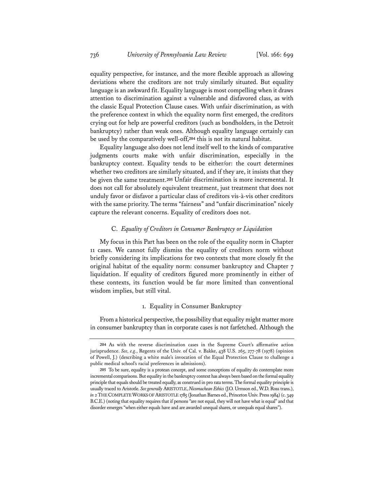equality perspective, for instance, and the more flexible approach as allowing deviations where the creditors are not truly similarly situated. But equality language is an awkward fit. Equality language is most compelling when it draws attention to discrimination against a vulnerable and disfavored class, as with the classic Equal Protection Clause cases. With unfair discrimination, as with the preference context in which the equality norm first emerged, the creditors crying out for help are powerful creditors (such as bondholders, in the Detroit bankruptcy) rather than weak ones. Although equality language certainly can be used by the comparatively well-off,**<sup>204</sup>** this is not its natural habitat.

Equality language also does not lend itself well to the kinds of comparative judgments courts make with unfair discrimination, especially in the bankruptcy context. Equality tends to be either/or: the court determines whether two creditors are similarly situated, and if they are, it insists that they be given the same treatment.**<sup>205</sup>** Unfair discrimination is more incremental. It does not call for absolutely equivalent treatment, just treatment that does not unduly favor or disfavor a particular class of creditors vis-à-vis other creditors with the same priority. The terms "fairness" and "unfair discrimination" nicely capture the relevant concerns. Equality of creditors does not.

#### C. *Equality of Creditors in Consumer Bankruptcy or Liquidation*

My focus in this Part has been on the role of the equality norm in Chapter 11 cases. We cannot fully dismiss the equality of creditors norm without briefly considering its implications for two contexts that more closely fit the original habitat of the equality norm: consumer bankruptcy and Chapter 7 liquidation. If equality of creditors figured more prominently in either of these contexts, its function would be far more limited than conventional wisdom implies, but still vital.

### 1. Equality in Consumer Bankruptcy

From a historical perspective, the possibility that equality might matter more in consumer bankruptcy than in corporate cases is not farfetched. Although the

**<sup>204</sup>** As with the reverse discrimination cases in the Supreme Court's affirmative action jurisprudence. *See, e.g.*, Regents of the Univ. of Cal. v. Bakke, 438 U.S. 265, 277-78 (1978) (opinion of Powell, J.) (describing a white male's invocation of the Equal Protection Clause to challenge a public medical school's racial preferences in admissions).

**<sup>205</sup>** To be sure, equality is a protean concept, and some conceptions of equality do contemplate more incremental comparisons. But equality in the bankruptcy context has always been based on the formal equality principle that equals should be treated equally, as construed in pro rata terms. The formal equality principle is usually traced to Aristotle. *See generally* ARISTOTLE, *Nicomachean Ethics* (J.O. Urmson ed., W.D. Ross trans.), *in* 2 THE COMPLETE WORKS OF ARISTOTLE 1785 (Jonathan Barnes ed., Princeton Univ. Press 1984) (c. 349 B.C.E.) (noting that equality requires that if persons "are not equal, they will not have what is equal" and that disorder emerges "when either equals have and are awarded unequal shares, or unequals equal shares").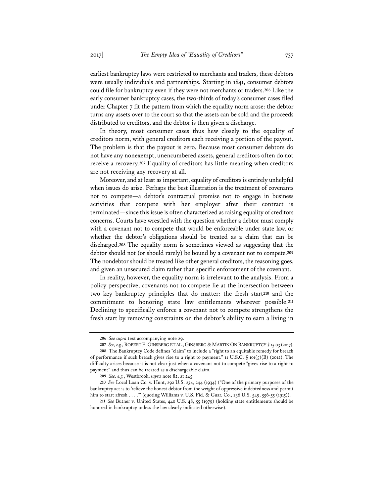earliest bankruptcy laws were restricted to merchants and traders, these debtors were usually individuals and partnerships. Starting in 1841, consumer debtors could file for bankruptcy even if they were not merchants or traders.**<sup>206</sup>** Like the early consumer bankruptcy cases, the two-thirds of today's consumer cases filed under Chapter 7 fit the pattern from which the equality norm arose: the debtor turns any assets over to the court so that the assets can be sold and the proceeds distributed to creditors, and the debtor is then given a discharge.

In theory, most consumer cases thus hew closely to the equality of creditors norm, with general creditors each receiving a portion of the payout. The problem is that the payout is zero. Because most consumer debtors do not have any nonexempt, unencumbered assets, general creditors often do not receive a recovery.**<sup>207</sup>** Equality of creditors has little meaning when creditors are not receiving any recovery at all.

Moreover, and at least as important, equality of creditors is entirely unhelpful when issues do arise. Perhaps the best illustration is the treatment of covenants not to compete—a debtor's contractual promise not to engage in business activities that compete with her employer after their contract is terminated—since this issue is often characterized as raising equality of creditors concerns. Courts have wrestled with the question whether a debtor must comply with a covenant not to compete that would be enforceable under state law, or whether the debtor's obligations should be treated as a claim that can be discharged.**<sup>208</sup>** The equality norm is sometimes viewed as suggesting that the debtor should not (or should rarely) be bound by a covenant not to compete.**<sup>209</sup>** The nondebtor should be treated like other general creditors, the reasoning goes, and given an unsecured claim rather than specific enforcement of the covenant.

In reality, however, the equality norm is irrelevant to the analysis. From a policy perspective, covenants not to compete lie at the intersection between two key bankruptcy principles that do matter: the fresh start**<sup>210</sup>** and the commitment to honoring state law entitlements wherever possible.**<sup>211</sup>** Declining to specifically enforce a covenant not to compete strengthens the fresh start by removing constraints on the debtor's ability to earn a living in

**<sup>206</sup>** *See supra* text accompanying note 29.

<sup>207</sup> See, e.g., ROBERT E. GINSBERG ET AL., GINSBERG & MARTIN ON BANKRUPTCY § 15.03 (2017). **208** The Bankruptcy Code defines "claim" to include a "right to an equitable remedy for breach of performance if such breach gives rise to a right to payment." 11 U.S.C. § 101(5)(B) (2012). The difficulty arises because it is not clear just when a covenant not to compete "gives rise to a right to payment" and thus can be treated as a dischargeable claim.

**<sup>209</sup>** *See, e.g.*, Westbrook, *supra* note 82, at 245.

**<sup>210</sup>** *See* Local Loan Co. v. Hunt, 292 U.S. 234, 244 (1934) ("One of the primary purposes of the bankruptcy act is to 'relieve the honest debtor from the weight of oppressive indebtedness and permit him to start afresh . . . .'" (quoting Williams v. U.S. Fid. & Guar. Co., 236 U.S. 549, 556-55 (1915)).

**<sup>211</sup>** *See* Butner v. United States, 440 U.S. 48, 55 (1979) (holding state entitlements should be honored in bankruptcy unless the law clearly indicated otherwise).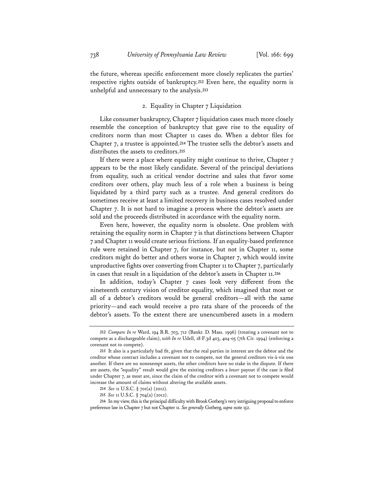the future, whereas specific enforcement more closely replicates the parties' respective rights outside of bankruptcy.**<sup>212</sup>** Even here, the equality norm is unhelpful and unnecessary to the analysis.**<sup>213</sup>**

#### 2. Equality in Chapter 7 Liquidation

Like consumer bankruptcy, Chapter 7 liquidation cases much more closely resemble the conception of bankruptcy that gave rise to the equality of creditors norm than most Chapter 11 cases do. When a debtor files for Chapter 7, a trustee is appointed.**<sup>214</sup>** The trustee sells the debtor's assets and distributes the assets to creditors.**<sup>215</sup>**

If there were a place where equality might continue to thrive, Chapter 7 appears to be the most likely candidate. Several of the principal deviations from equality, such as critical vendor doctrine and sales that favor some creditors over others, play much less of a role when a business is being liquidated by a third party such as a trustee. And general creditors do sometimes receive at least a limited recovery in business cases resolved under Chapter 7. It is not hard to imagine a process where the debtor's assets are sold and the proceeds distributed in accordance with the equality norm.

Even here, however, the equality norm is obsolete. One problem with retaining the equality norm in Chapter 7 is that distinctions between Chapter 7 and Chapter 11 would create serious frictions. If an equality-based preference rule were retained in Chapter 7, for instance, but not in Chapter 11, some creditors might do better and others worse in Chapter 7, which would invite unproductive fights over converting from Chapter 11 to Chapter 7, particularly in cases that result in a liquidation of the debtor's assets in Chapter 11.**<sup>216</sup>**

In addition, today's Chapter 7 cases look very different from the nineteenth century vision of creditor equality, which imagined that most or all of a debtor's creditors would be general creditors—all with the same priority—and each would receive a pro rata share of the proceeds of the debtor's assets. To the extent there are unencumbered assets in a modern

**<sup>212</sup>** *Compare In re* Ward, 194 B.R. 703, 712 (Bankr. D. Mass. 1996) (treating a covenant not to compete as a dischargeable claim), *with In re* Udell, 18 F.3d 403, 404-05 (7th Cir. 1994) (enforcing a covenant not to compete).

**<sup>213</sup>** It also is a particularly bad fit, given that the real parties in interest are the debtor and the creditor whose contract includes a covenant not to compete, not the general creditors vis-à-vis one another. If there are no nonexempt assets, the other creditors have no stake in the dispute. If there are assets, the "equality" result would give the existing creditors a *lower* payout if the case is filed under Chapter 7, as most are, since the claim of the creditor with a covenant not to compete would increase the amount of claims without altering the available assets.

**<sup>214</sup>** *See* 11 U.S.C. § 701(a) (2012).

**<sup>215</sup>** *See* 11 U.S.C. § 704(a) (2012).

**<sup>216</sup>** In my view, this is the principal difficulty with Brook Gotberg's very intriguing proposal to enforce preference law in Chapter 7 but not Chapter 11. *See generally* Gotberg, *supra* note 152.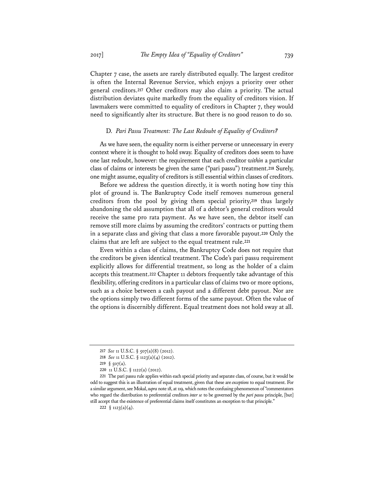Chapter 7 case, the assets are rarely distributed equally. The largest creditor is often the Internal Revenue Service, which enjoys a priority over other general creditors.**<sup>217</sup>** Other creditors may also claim a priority. The actual distribution deviates quite markedly from the equality of creditors vision. If lawmakers were committed to equality of creditors in Chapter 7, they would need to significantly alter its structure. But there is no good reason to do so.

#### D. *Pari Passu Treatment: The Last Redoubt of Equality of Creditors?*

As we have seen, the equality norm is either perverse or unnecessary in every context where it is thought to hold sway. Equality of creditors does seem to have one last redoubt, however: the requirement that each creditor *within* a particular class of claims or interests be given the same ("pari passu") treatment.**<sup>218</sup>** Surely, one might assume, equality of creditors is still essential within classes of creditors.

Before we address the question directly, it is worth noting how tiny this plot of ground is. The Bankruptcy Code itself removes numerous general creditors from the pool by giving them special priority,**<sup>219</sup>** thus largely abandoning the old assumption that all of a debtor's general creditors would receive the same pro rata payment. As we have seen, the debtor itself can remove still more claims by assuming the creditors' contracts or putting them in a separate class and giving that class a more favorable payout.**<sup>220</sup>** Only the claims that are left are subject to the equal treatment rule.**<sup>221</sup>**

Even within a class of claims, the Bankruptcy Code does not require that the creditors be given identical treatment. The Code's pari passu requirement explicitly allows for differential treatment, so long as the holder of a claim accepts this treatment.**<sup>222</sup>** Chapter 11 debtors frequently take advantage of this flexibility, offering creditors in a particular class of claims two or more options, such as a choice between a cash payout and a different debt payout. Nor are the options simply two different forms of the same payout. Often the value of the options is discernibly different. Equal treatment does not hold sway at all.

**<sup>217</sup>** *See* 11 U.S.C. § 507(a)(8) (2012).

**<sup>218</sup>** *See* 11 U.S.C. § 1123(a)(4) (2012).

**<sup>219</sup>** § 507(a).

**<sup>220</sup>** 11 U.S.C. § 1122(a) (2012).

**<sup>221</sup>** The pari passu rule applies within each special priority and separate class, of course, but it would be odd to suggest this is an illustration of equal treatment, given that these are *exceptions* to equal treatment. For a similar argument, see Mokal, *supra* note 18, at 119, which notes the confusing phenomenon of "commentators who regard the distribution to preferential creditors *inter se* to be governed by the *pari passu* principle, [but] still accept that the existence of preferential claims itself constitutes an exception to that principle."

<sup>222</sup>  $\S$  1123(a)(4).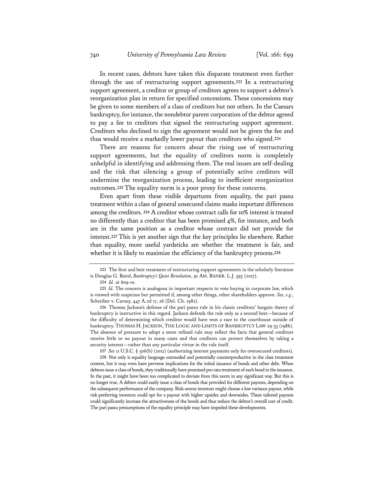In recent cases, debtors have taken this disparate treatment even further through the use of restructuring support agreements.**<sup>223</sup>** In a restructuring support agreement, a creditor or group of creditors agrees to support a debtor's reorganization plan in return for specified concessions. These concessions may be given to some members of a class of creditors but not others. In the Caesars bankruptcy, for instance, the nondebtor parent corporation of the debtor agreed to pay a fee to creditors that signed the restructuring support agreement. Creditors who declined to sign the agreement would not be given the fee and thus would receive a markedly lower payout than creditors who signed.**<sup>224</sup>**

There are reasons for concern about the rising use of restructuring support agreements, but the equality of creditors norm is completely unhelpful in identifying and addressing them. The real issues are self-dealing and the risk that silencing a group of potentially active creditors will undermine the reorganization process, leading to inefficient reorganization outcomes.**<sup>225</sup>** The equality norm is a poor proxy for these concerns.

Even apart from these visible departures from equality, the pari passu treatment within a class of general unsecured claims masks important differences among the creditors.**<sup>226</sup>** A creditor whose contract calls for 10% interest is treated no differently than a creditor that has been promised 4%, for instance, and both are in the same position as a creditor whose contract did not provide for interest.**<sup>227</sup>** This is yet another sign that the key principles lie elsewhere. Rather than equality, more useful yardsticks are whether the treatment is fair, and whether it is likely to maximize the efficiency of the bankruptcy process.**<sup>228</sup>**

**224** *Id.* at 609-10.

**226** Thomas Jackson's defense of the pari passu rule in his classic creditors' bargain theory of bankruptcy is instructive in this regard. Jackson defends the rule only as a second best—because of the difficulty of determining which creditor would have won a race to the courthouse outside of bankruptcy. THOMAS H. JACKSON, THE LOGIC AND LIMITS OF BANKRUPTCY LAW 29-33 (1986). The absence of pressure to adopt a more refined rule may reflect the facts that general creditors receive little or no payout in many cases and that creditors can protect themselves by taking a security interest—rather than any particular virtue in the rule itself.

**227** *See* 11 U.S.C. § 506(b) (2012) (authorizing interest payments only for oversecured creditors).

**228** Not only is equality language outmoded and potentially counterproductive in the class treatment context, but it may even have perverse implications for the initial issuance of bonds and other debt. When debtors issue a class of bonds, they traditionally have promised pro rata treatment of each bond in the issuance. In the past, it might have been too complicated to deviate from this norm in any significant way. But this is no longer true. A debtor could easily issue a class of bonds that provided for different payouts, depending on the subsequent performance of the company. Risk-averse investors might choose a low variance payout, while risk-preferring investors could opt for a payout with higher upsides and downsides. These tailored payouts could significantly increase the attractiveness of the bonds and thus reduce the debtor's overall cost of credit. The pari passu presumptions of the equality principle may have impeded these developments.

**<sup>223</sup>** The first and best treatment of restructuring support agreements in the scholarly literature is Douglas G. Baird, *Bankruptcy's Quiet Revolution*, 91 AM. BANKR. L.J. 593 (2017).

**<sup>225</sup>** *Id*. The concern is analogous in important respects to vote buying in corporate law, which is viewed with suspicion but permitted if, among other things, other shareholders approve. *See, e.g.*, Schreiber v. Carney, 447 A.2d 17, 26 (Del. Ch. 1982).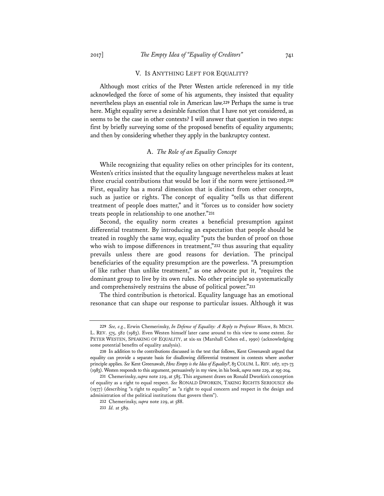#### V. IS ANYTHING LEFT FOR EQUALITY?

Although most critics of the Peter Westen article referenced in my title acknowledged the force of some of his arguments, they insisted that equality nevertheless plays an essential role in American law.**<sup>229</sup>** Perhaps the same is true here. Might equality serve a desirable function that I have not yet considered, as seems to be the case in other contexts? I will answer that question in two steps: first by briefly surveying some of the proposed benefits of equality arguments; and then by considering whether they apply in the bankruptcy context.

#### A. *The Role of an Equality Concept*

While recognizing that equality relies on other principles for its content, Westen's critics insisted that the equality language nevertheless makes at least three crucial contributions that would be lost if the norm were jettisoned.**<sup>230</sup>** First, equality has a moral dimension that is distinct from other concepts, such as justice or rights. The concept of equality "tells us that different treatment of people does matter," and it "forces us to consider how society treats people in relationship to one another."**<sup>231</sup>**

Second, the equality norm creates a beneficial presumption against differential treatment. By introducing an expectation that people should be treated in roughly the same way, equality "puts the burden of proof on those who wish to impose differences in treatment,"**<sup>232</sup>** thus assuring that equality prevails unless there are good reasons for deviation. The principal beneficiaries of the equality presumption are the powerless. "A presumption of like rather than unlike treatment," as one advocate put it, "requires the dominant group to live by its own rules. No other principle so systematically and comprehensively restrains the abuse of political power."**<sup>233</sup>**

The third contribution is rhetorical. Equality language has an emotional resonance that can shape our response to particular issues. Although it was

**<sup>229</sup>** *See, e.g.*, Erwin Chemerinsky, *In Defense of Equality: A Reply to Professor Westen*, 81 MICH. L. REV. 575, 582 (1983). Even Westen himself later came around to this view to some extent. *See* PETER WESTEN, SPEAKING OF EQUALITY, at xix-xx (Marshall Cohen ed., 1990) (acknowledging some potential benefits of equality analysis).

**<sup>230</sup>** In addition to the contributions discussed in the text that follows, Kent Greenawalt argued that equality can provide a separate basis for disallowing differential treatment in contexts where another principle applies. *See* Kent Greenawalt, *How Empty is the Idea of Equality?*, 83 COLUM. L.REV. 1167, 1171-73 (1983). Westen responds to this argument, persuasively in my view, in his book, *supra* note 229, at 195-204.

**<sup>231</sup>** Chemerinsky, *supra* note 229, at 585. This argument draws on Ronald Dworkin's conception of equality as a right to equal respect. *See* RONALD DWORKIN, TAKING RIGHTS SERIOUSLY 180 (1977) (describing "a right to equality" as "a right to equal concern and respect in the design and administration of the political institutions that govern them").

**<sup>232</sup>** Chemerinsky, *supra* note 229, at 588.

**<sup>233</sup>** *Id.* at 589.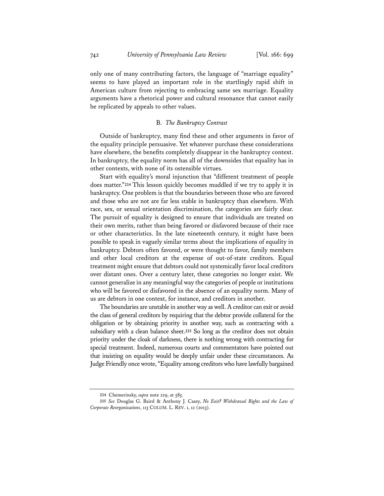only one of many contributing factors, the language of "marriage equality" seems to have played an important role in the startlingly rapid shift in American culture from rejecting to embracing same sex marriage. Equality arguments have a rhetorical power and cultural resonance that cannot easily be replicated by appeals to other values.

#### B. *The Bankruptcy Contrast*

Outside of bankruptcy, many find these and other arguments in favor of the equality principle persuasive. Yet whatever purchase these considerations have elsewhere, the benefits completely disappear in the bankruptcy context. In bankruptcy, the equality norm has all of the downsides that equality has in other contexts, with none of its ostensible virtues.

Start with equality's moral injunction that "different treatment of people does matter."**<sup>234</sup>** This lesson quickly becomes muddled if we try to apply it in bankruptcy. One problem is that the boundaries between those who are favored and those who are not are far less stable in bankruptcy than elsewhere. With race, sex, or sexual orientation discrimination, the categories are fairly clear. The pursuit of equality is designed to ensure that individuals are treated on their own merits, rather than being favored or disfavored because of their race or other characteristics. In the late nineteenth century, it might have been possible to speak in vaguely similar terms about the implications of equality in bankruptcy. Debtors often favored, or were thought to favor, family members and other local creditors at the expense of out-of-state creditors. Equal treatment might ensure that debtors could not systemically favor local creditors over distant ones. Over a century later, these categories no longer exist. We cannot generalize in any meaningful way the categories of people or institutions who will be favored or disfavored in the absence of an equality norm. Many of us are debtors in one context, for instance, and creditors in another.

The boundaries are unstable in another way as well. A creditor can exit or avoid the class of general creditors by requiring that the debtor provide collateral for the obligation or by obtaining priority in another way, such as contracting with a subsidiary with a clean balance sheet.**<sup>235</sup>** So long as the creditor does not obtain priority under the cloak of darkness, there is nothing wrong with contracting for special treatment. Indeed, numerous courts and commentators have pointed out that insisting on equality would be deeply unfair under these circumstances. As Judge Friendly once wrote, "Equality among creditors who have lawfully bargained

**<sup>234</sup>** Chemerinsky, *supra* note 229, at 585.

**<sup>235</sup>** *See* Douglas G. Baird & Anthony J. Casey, *No Exit? Withdrawal Rights and the Law of Corporate Reorganizations*, 113 COLUM. L. REV. 1, 12 (2013).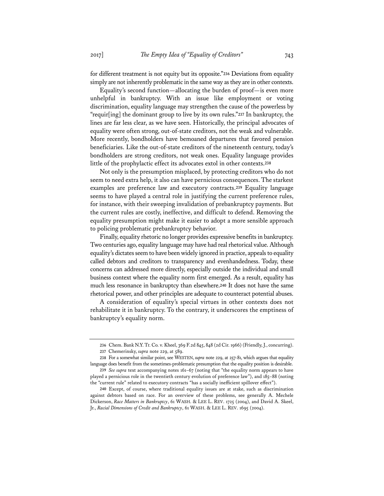for different treatment is not equity but its opposite."**<sup>236</sup>** Deviations from equality simply are not inherently problematic in the same way as they are in other contexts.

Equality's second function—allocating the burden of proof—is even more unhelpful in bankruptcy. With an issue like employment or voting discrimination, equality language may strengthen the cause of the powerless by "requir[ing] the dominant group to live by its own rules."**<sup>237</sup>** In bankruptcy, the lines are far less clear, as we have seen. Historically, the principal advocates of equality were often strong, out-of-state creditors, not the weak and vulnerable. More recently, bondholders have bemoaned departures that favored pension beneficiaries. Like the out-of-state creditors of the nineteenth century, today's bondholders are strong creditors, not weak ones. Equality language provides little of the prophylactic effect its advocates extol in other contexts.**<sup>238</sup>**

Not only is the presumption misplaced, by protecting creditors who do not seem to need extra help, it also can have pernicious consequences. The starkest examples are preference law and executory contracts.**<sup>239</sup>** Equality language seems to have played a central role in justifying the current preference rules, for instance, with their sweeping invalidation of prebankruptcy payments. But the current rules are costly, ineffective, and difficult to defend. Removing the equality presumption might make it easier to adopt a more sensible approach to policing problematic prebankruptcy behavior.

Finally, equality rhetoric no longer provides expressive benefits in bankruptcy. Two centuries ago, equality language may have had real rhetorical value. Although equality's dictates seem to have been widely ignored in practice, appeals to equality called debtors and creditors to transparency and evenhandedness. Today, these concerns can addressed more directly, especially outside the individual and small business context where the equality norm first emerged. As a result, equality has much less resonance in bankruptcy than elsewhere.**<sup>240</sup>** It does not have the same rhetorical power, and other principles are adequate to counteract potential abuses.

A consideration of equality's special virtues in other contexts does not rehabilitate it in bankruptcy. To the contrary, it underscores the emptiness of bankruptcy's equality norm.

**<sup>236</sup>** Chem. Bank N.Y. Tr. Co. v. Kheel, 369 F.2d 845, 848 (2d Cir. 1966) (Friendly, J., concurring). **237** Chemerinsky, *supra* note 229, at 589.

**<sup>238</sup>** For a somewhat similar point, see WESTEN, *supra* note 229, at 257-81, which argues that equality language does benefit from the sometimes-problematic presumption that the equality position is desirable.

**<sup>239</sup>** *See supra* text accompanying notes 161–67 (noting that "the equality norm appears to have played a pernicious role in the twentieth century evolution of preference law"), and 185–88 (noting the "current rule" related to executory contracts "has a socially inefficient spillover effect").

**<sup>240</sup>** Except, of course, where traditional equality issues are at stake, such as discrimination against debtors based on race. For an overview of these problems, see generally A. Mechele Dickerson, *Race Matters in Bankruptcy*, 61 WASH. & LEE L. REV. 1725 (2004), and David A. Skeel, Jr., *Racial Dimensions of Credit and Bankruptcy*, 61 WASH. & LEE L. REV. 1695 (2004).